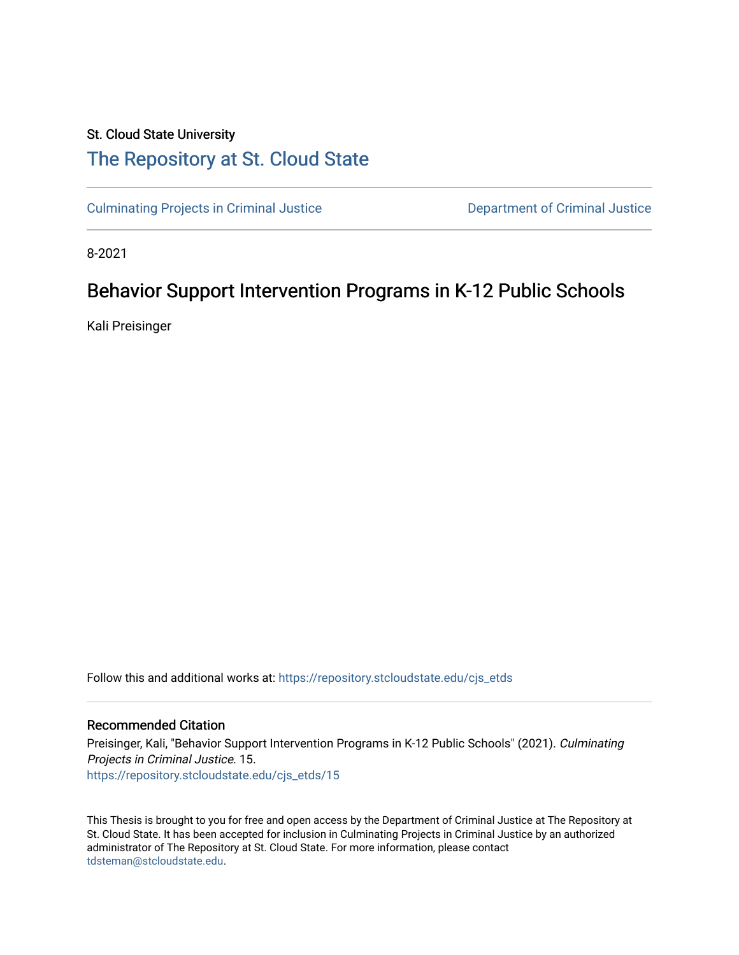# St. Cloud State University [The Repository at St. Cloud State](https://repository.stcloudstate.edu/)

[Culminating Projects in Criminal Justice](https://repository.stcloudstate.edu/cjs_etds) [Department of Criminal Justice](https://repository.stcloudstate.edu/cjs) 

8-2021

# Behavior Support Intervention Programs in K-12 Public Schools

Kali Preisinger

Follow this and additional works at: [https://repository.stcloudstate.edu/cjs\\_etds](https://repository.stcloudstate.edu/cjs_etds?utm_source=repository.stcloudstate.edu%2Fcjs_etds%2F15&utm_medium=PDF&utm_campaign=PDFCoverPages)

# Recommended Citation

Preisinger, Kali, "Behavior Support Intervention Programs in K-12 Public Schools" (2021). Culminating Projects in Criminal Justice. 15. [https://repository.stcloudstate.edu/cjs\\_etds/15](https://repository.stcloudstate.edu/cjs_etds/15?utm_source=repository.stcloudstate.edu%2Fcjs_etds%2F15&utm_medium=PDF&utm_campaign=PDFCoverPages) 

This Thesis is brought to you for free and open access by the Department of Criminal Justice at The Repository at St. Cloud State. It has been accepted for inclusion in Culminating Projects in Criminal Justice by an authorized administrator of The Repository at St. Cloud State. For more information, please contact [tdsteman@stcloudstate.edu](mailto:tdsteman@stcloudstate.edu).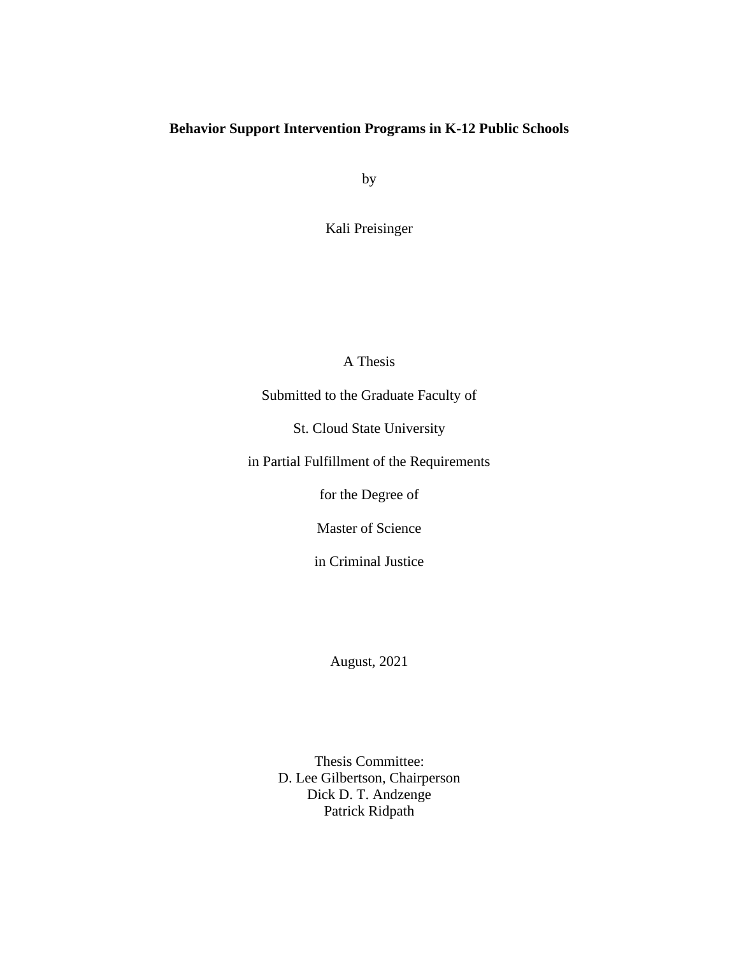# **Behavior Support Intervention Programs in K-12 Public Schools**

by

Kali Preisinger

A Thesis

Submitted to the Graduate Faculty of

St. Cloud State University

in Partial Fulfillment of the Requirements

for the Degree of

Master of Science

in Criminal Justice

August, 2021

Thesis Committee: D. Lee Gilbertson, Chairperson Dick D. T. Andzenge Patrick Ridpath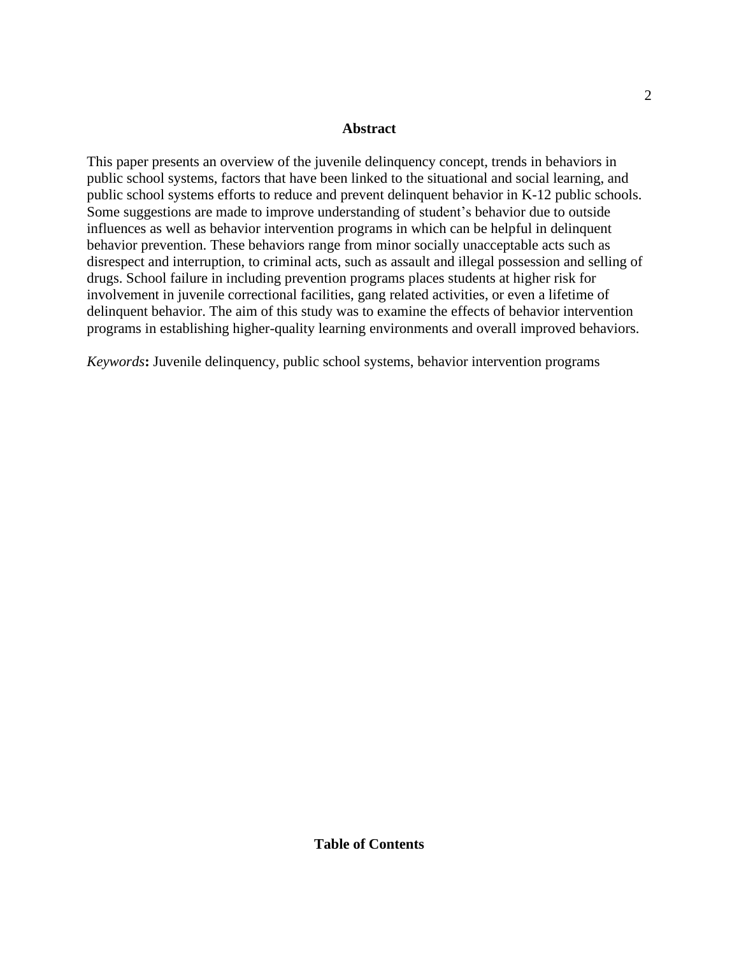#### **Abstract**

This paper presents an overview of the juvenile delinquency concept, trends in behaviors in public school systems, factors that have been linked to the situational and social learning, and public school systems efforts to reduce and prevent delinquent behavior in K-12 public schools. Some suggestions are made to improve understanding of student's behavior due to outside influences as well as behavior intervention programs in which can be helpful in delinquent behavior prevention. These behaviors range from minor socially unacceptable acts such as disrespect and interruption, to criminal acts, such as assault and illegal possession and selling of drugs. School failure in including prevention programs places students at higher risk for involvement in juvenile correctional facilities, gang related activities, or even a lifetime of delinquent behavior. The aim of this study was to examine the effects of behavior intervention programs in establishing higher-quality learning environments and overall improved behaviors.

*Keywords***:** Juvenile delinquency, public school systems, behavior intervention programs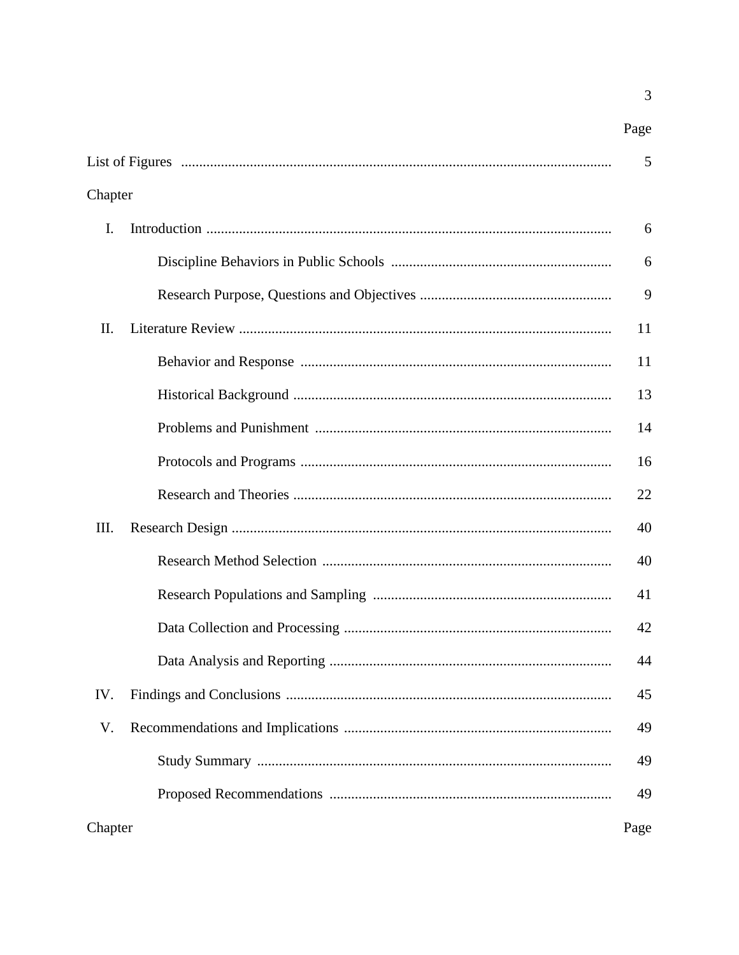$\overline{\mathbf{3}}$ 

|         |         | 5  |  |
|---------|---------|----|--|
| Chapter |         |    |  |
| I.      |         | 6  |  |
|         |         | 6  |  |
|         |         | 9  |  |
| II.     |         | 11 |  |
|         |         | 11 |  |
|         |         | 13 |  |
|         |         | 14 |  |
|         |         | 16 |  |
|         |         | 22 |  |
| III.    |         | 40 |  |
|         |         | 40 |  |
|         |         | 41 |  |
|         |         | 42 |  |
|         |         | 44 |  |
| IV.     |         | 45 |  |
| V.      |         | 49 |  |
|         |         | 49 |  |
|         |         | 49 |  |
|         | Chapter |    |  |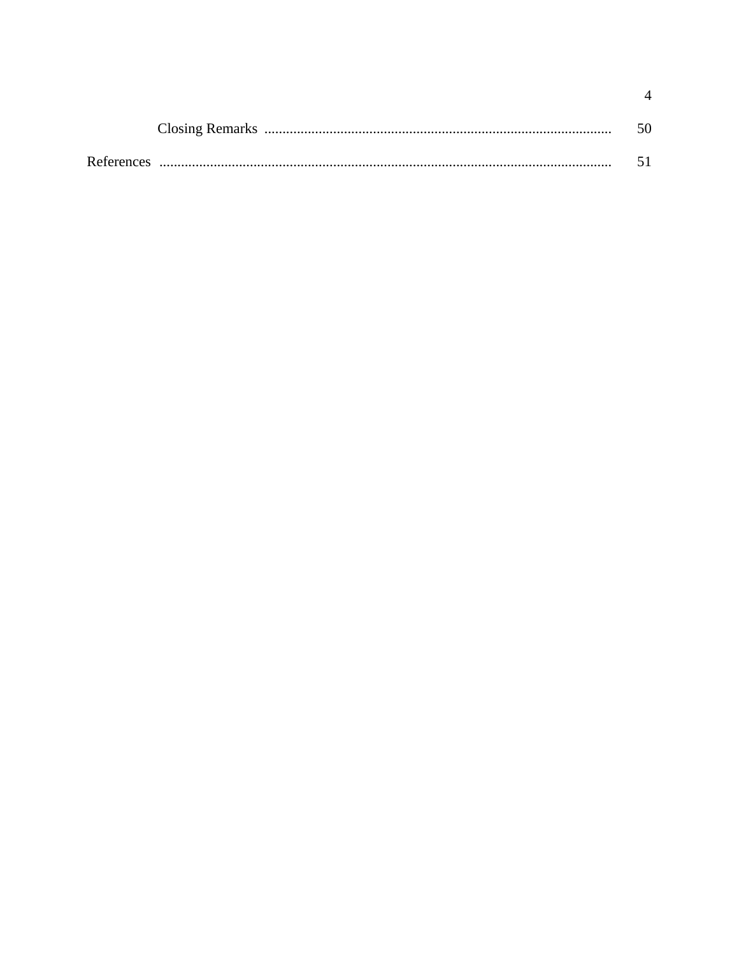$\overline{4}$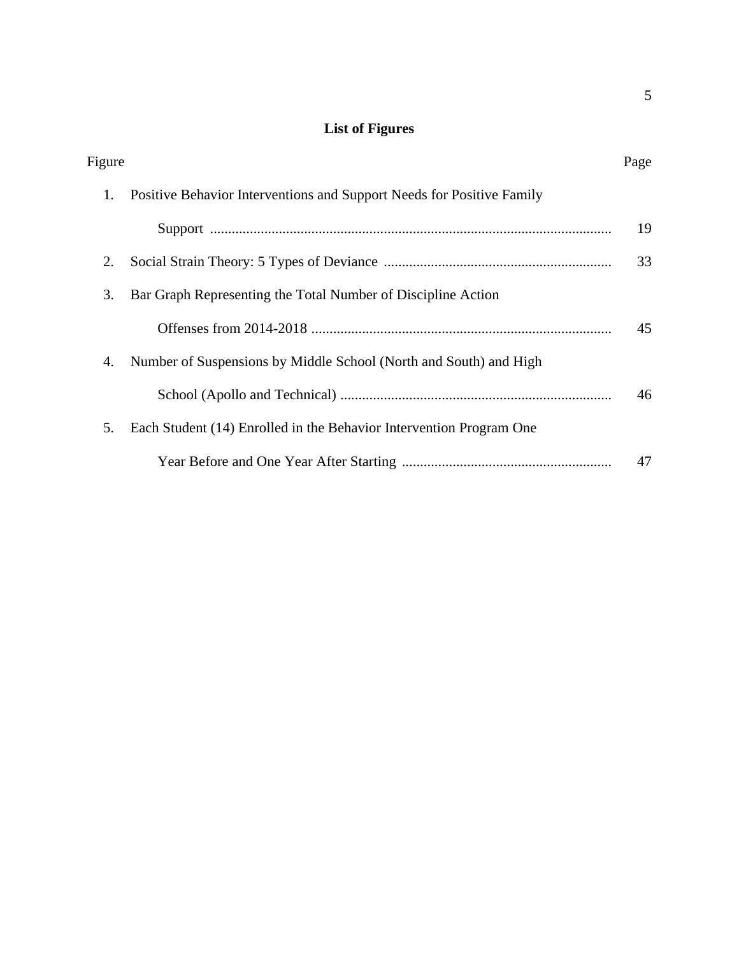# **List of Figures**

| Figure |                                                                       | Page |
|--------|-----------------------------------------------------------------------|------|
| 1.     | Positive Behavior Interventions and Support Needs for Positive Family |      |
|        |                                                                       | 19   |
| 2.     |                                                                       | 33   |
| 3.     | Bar Graph Representing the Total Number of Discipline Action          |      |
|        |                                                                       | 45   |
| 4.     | Number of Suspensions by Middle School (North and South) and High     |      |
|        |                                                                       | 46   |
| 5.     | Each Student (14) Enrolled in the Behavior Intervention Program One   |      |
|        |                                                                       | 47   |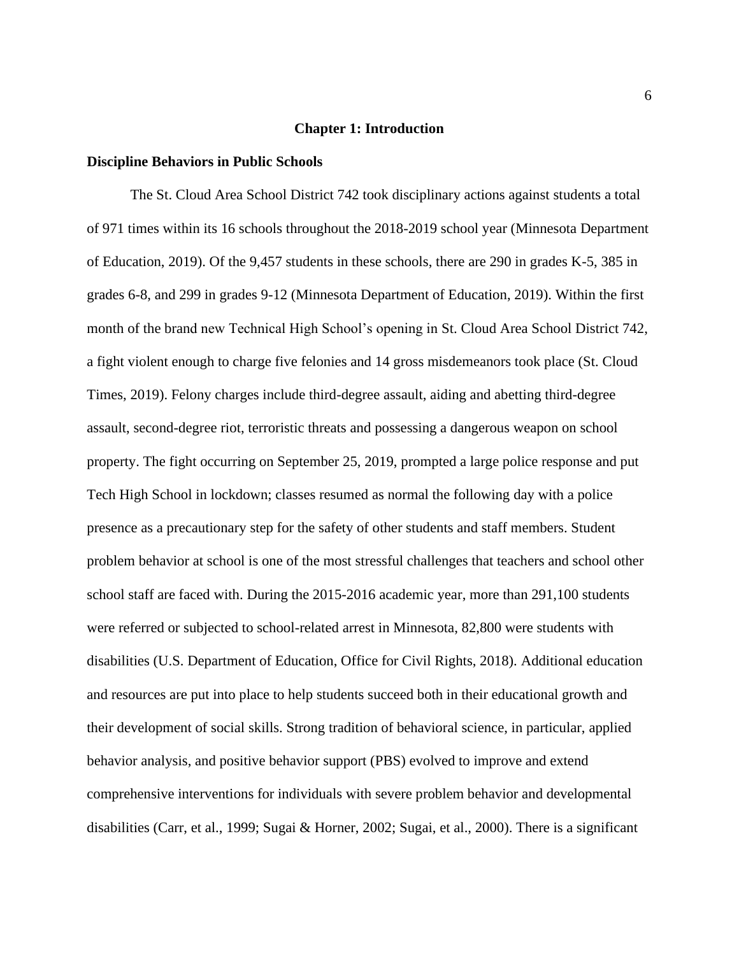#### **Chapter 1: Introduction**

#### **Discipline Behaviors in Public Schools**

The St. Cloud Area School District 742 took disciplinary actions against students a total of 971 times within its 16 schools throughout the 2018-2019 school year (Minnesota Department of Education, 2019). Of the 9,457 students in these schools, there are 290 in grades K-5, 385 in grades 6-8, and 299 in grades 9-12 (Minnesota Department of Education, 2019). Within the first month of the brand new Technical High School's opening in St. Cloud Area School District 742, a fight violent enough to charge five felonies and 14 gross misdemeanors took place (St. Cloud Times, 2019). Felony charges include third-degree assault, aiding and abetting third-degree assault, second-degree riot, terroristic threats and possessing a dangerous weapon on school property. The fight occurring on September 25, 2019, prompted a large police response and put Tech High School in lockdown; classes resumed as normal the following day with a police presence as a precautionary step for the safety of other students and staff members. Student problem behavior at school is one of the most stressful challenges that teachers and school other school staff are faced with. During the 2015-2016 academic year, more than 291,100 students were referred or subjected to school-related arrest in Minnesota, 82,800 were students with disabilities (U.S. Department of Education, Office for Civil Rights, 2018). Additional education and resources are put into place to help students succeed both in their educational growth and their development of social skills. Strong tradition of behavioral science, in particular, applied behavior analysis, and positive behavior support (PBS) evolved to improve and extend comprehensive interventions for individuals with severe problem behavior and developmental disabilities (Carr, et al., 1999; Sugai & Horner, 2002; Sugai, et al., 2000). There is a significant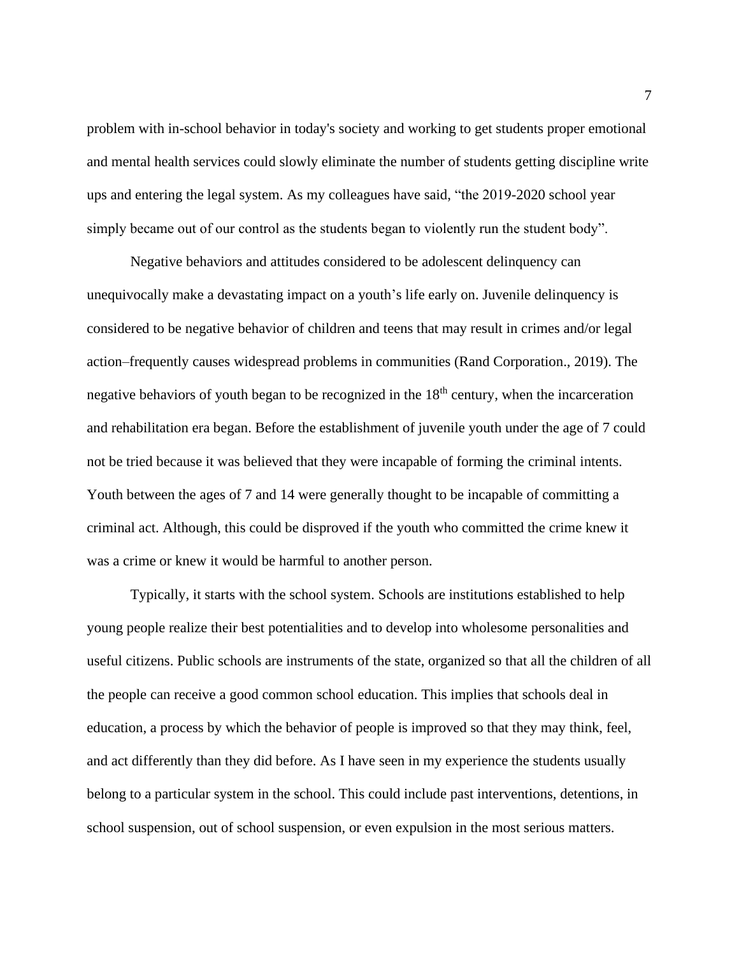problem with in-school behavior in today's society and working to get students proper emotional and mental health services could slowly eliminate the number of students getting discipline write ups and entering the legal system. As my colleagues have said, "the 2019-2020 school year simply became out of our control as the students began to violently run the student body".

Negative behaviors and attitudes considered to be adolescent delinquency can unequivocally make a devastating impact on a youth's life early on. Juvenile delinquency is considered to be negative behavior of children and teens that may result in crimes and/or legal action–frequently causes widespread problems in communities (Rand Corporation., 2019). The negative behaviors of youth began to be recognized in the  $18<sup>th</sup>$  century, when the incarceration and rehabilitation era began. Before the establishment of juvenile youth under the age of 7 could not be tried because it was believed that they were incapable of forming the criminal intents. Youth between the ages of 7 and 14 were generally thought to be incapable of committing a criminal act. Although, this could be disproved if the youth who committed the crime knew it was a crime or knew it would be harmful to another person.

Typically, it starts with the school system. Schools are institutions established to help young people realize their best potentialities and to develop into wholesome personalities and useful citizens. Public schools are instruments of the state, organized so that all the children of all the people can receive a good common school education. This implies that schools deal in education, a process by which the behavior of people is improved so that they may think, feel, and act differently than they did before. As I have seen in my experience the students usually belong to a particular system in the school. This could include past interventions, detentions, in school suspension, out of school suspension, or even expulsion in the most serious matters.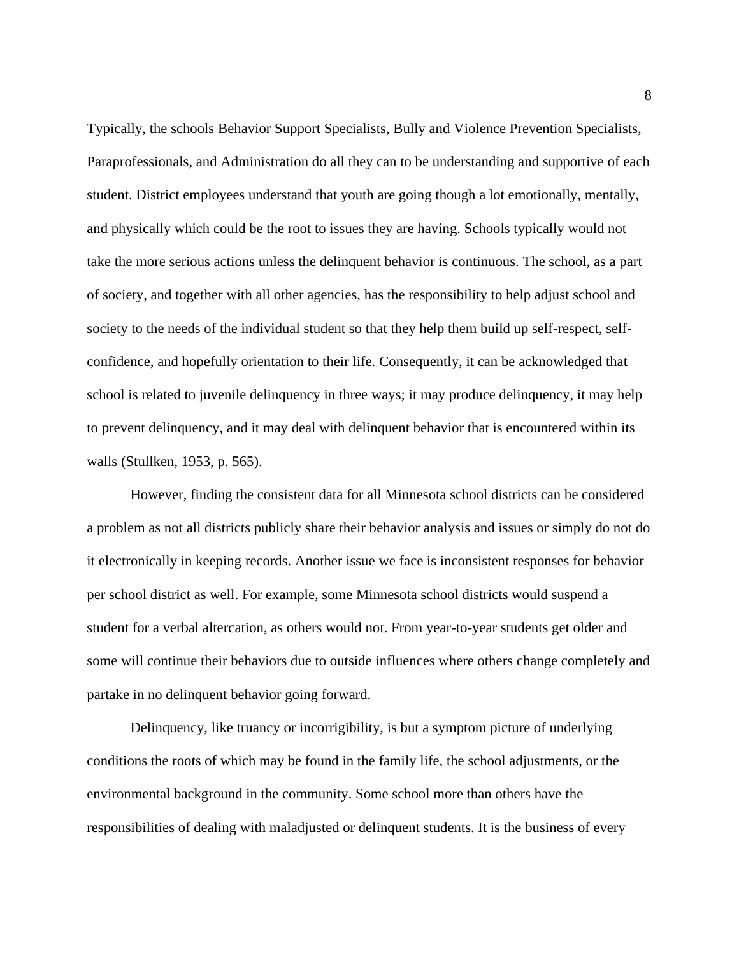Typically, the schools Behavior Support Specialists, Bully and Violence Prevention Specialists, Paraprofessionals, and Administration do all they can to be understanding and supportive of each student. District employees understand that youth are going though a lot emotionally, mentally, and physically which could be the root to issues they are having. Schools typically would not take the more serious actions unless the delinquent behavior is continuous. The school, as a part of society, and together with all other agencies, has the responsibility to help adjust school and society to the needs of the individual student so that they help them build up self-respect, selfconfidence, and hopefully orientation to their life. Consequently, it can be acknowledged that school is related to juvenile delinquency in three ways; it may produce delinquency, it may help to prevent delinquency, and it may deal with delinquent behavior that is encountered within its walls (Stullken, 1953, p. 565).

However, finding the consistent data for all Minnesota school districts can be considered a problem as not all districts publicly share their behavior analysis and issues or simply do not do it electronically in keeping records. Another issue we face is inconsistent responses for behavior per school district as well. For example, some Minnesota school districts would suspend a student for a verbal altercation, as others would not. From year-to-year students get older and some will continue their behaviors due to outside influences where others change completely and partake in no delinquent behavior going forward.

Delinquency, like truancy or incorrigibility, is but a symptom picture of underlying conditions the roots of which may be found in the family life, the school adjustments, or the environmental background in the community. Some school more than others have the responsibilities of dealing with maladjusted or delinquent students. It is the business of every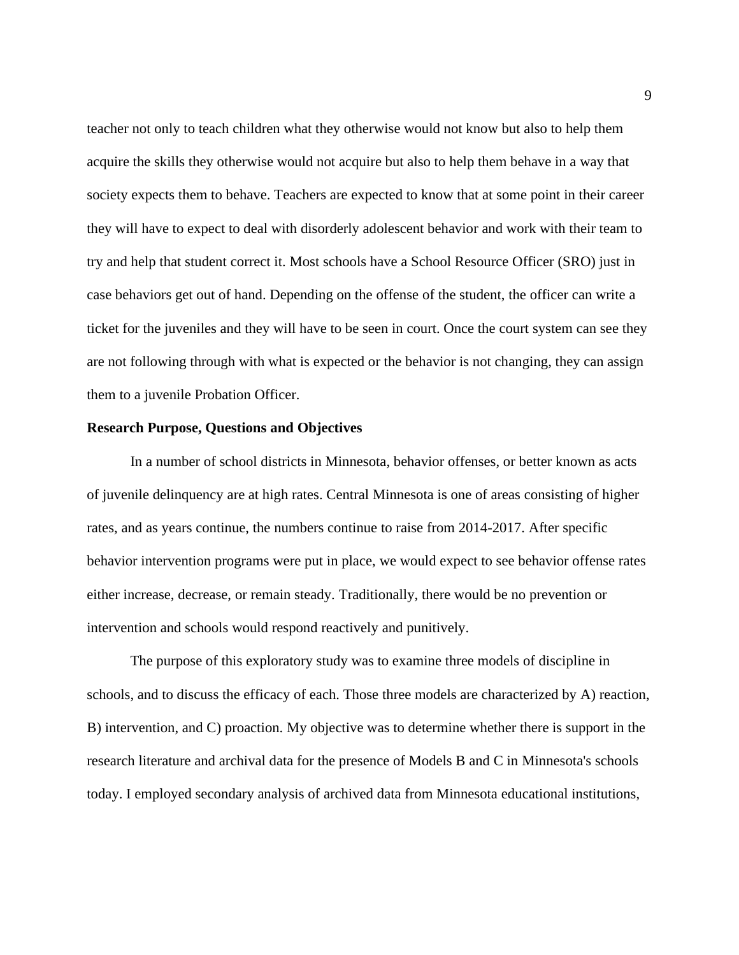teacher not only to teach children what they otherwise would not know but also to help them acquire the skills they otherwise would not acquire but also to help them behave in a way that society expects them to behave. Teachers are expected to know that at some point in their career they will have to expect to deal with disorderly adolescent behavior and work with their team to try and help that student correct it. Most schools have a School Resource Officer (SRO) just in case behaviors get out of hand. Depending on the offense of the student, the officer can write a ticket for the juveniles and they will have to be seen in court. Once the court system can see they are not following through with what is expected or the behavior is not changing, they can assign them to a juvenile Probation Officer.

#### **Research Purpose, Questions and Objectives**

In a number of school districts in Minnesota, behavior offenses, or better known as acts of juvenile delinquency are at high rates. Central Minnesota is one of areas consisting of higher rates, and as years continue, the numbers continue to raise from 2014-2017. After specific behavior intervention programs were put in place, we would expect to see behavior offense rates either increase, decrease, or remain steady. Traditionally, there would be no prevention or intervention and schools would respond reactively and punitively.

The purpose of this exploratory study was to examine three models of discipline in schools, and to discuss the efficacy of each. Those three models are characterized by A) reaction, B) intervention, and C) proaction. My objective was to determine whether there is support in the research literature and archival data for the presence of Models B and C in Minnesota's schools today. I employed secondary analysis of archived data from Minnesota educational institutions,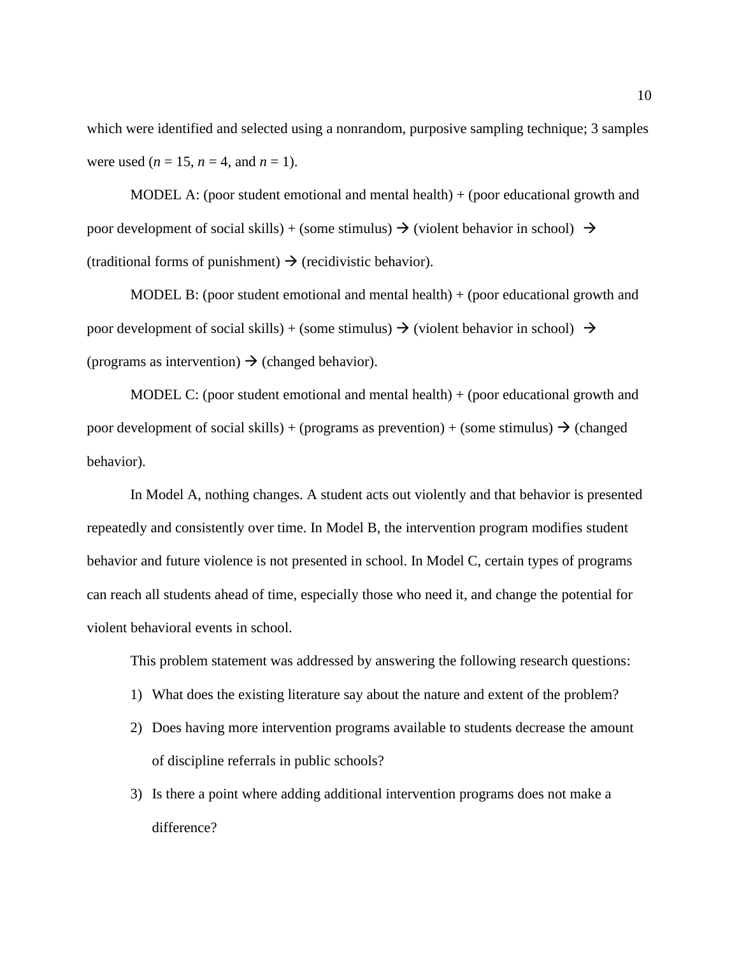which were identified and selected using a nonrandom, purposive sampling technique; 3 samples were used ( $n = 15$ ,  $n = 4$ , and  $n = 1$ ).

MODEL A: (poor student emotional and mental health)  $+$  (poor educational growth and poor development of social skills) + (some stimulus)  $\rightarrow$  (violent behavior in school)  $\rightarrow$ (traditional forms of punishment)  $\rightarrow$  (recidivistic behavior).

MODEL B: (poor student emotional and mental health)  $+$  (poor educational growth and poor development of social skills) + (some stimulus)  $\rightarrow$  (violent behavior in school)  $\rightarrow$ (programs as intervention)  $\rightarrow$  (changed behavior).

MODEL C: (poor student emotional and mental health) + (poor educational growth and poor development of social skills) + (programs as prevention) + (some stimulus)  $\rightarrow$  (changed behavior).

In Model A, nothing changes. A student acts out violently and that behavior is presented repeatedly and consistently over time. In Model B, the intervention program modifies student behavior and future violence is not presented in school. In Model C, certain types of programs can reach all students ahead of time, especially those who need it, and change the potential for violent behavioral events in school.

This problem statement was addressed by answering the following research questions:

- 1) What does the existing literature say about the nature and extent of the problem?
- 2) Does having more intervention programs available to students decrease the amount of discipline referrals in public schools?
- 3) Is there a point where adding additional intervention programs does not make a difference?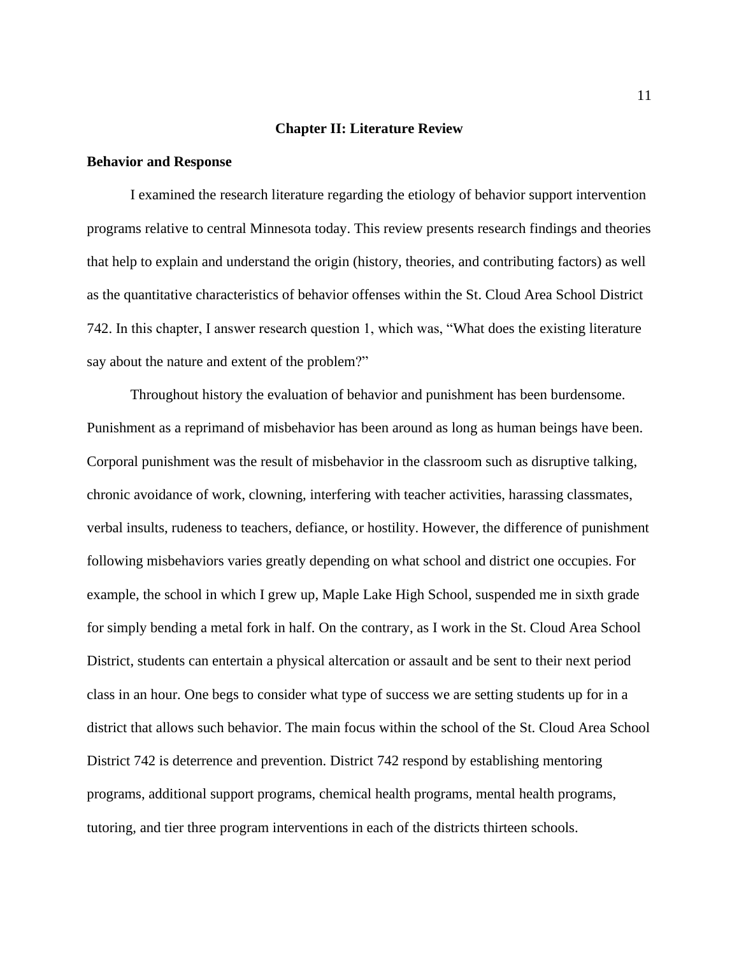#### **Chapter II: Literature Review**

#### **Behavior and Response**

I examined the research literature regarding the etiology of behavior support intervention programs relative to central Minnesota today. This review presents research findings and theories that help to explain and understand the origin (history, theories, and contributing factors) as well as the quantitative characteristics of behavior offenses within the St. Cloud Area School District 742. In this chapter, I answer research question 1, which was, "What does the existing literature say about the nature and extent of the problem?"

Throughout history the evaluation of behavior and punishment has been burdensome. Punishment as a reprimand of misbehavior has been around as long as human beings have been. Corporal punishment was the result of misbehavior in the classroom such as disruptive talking, chronic avoidance of work, clowning, interfering with teacher activities, harassing classmates, verbal insults, rudeness to teachers, defiance, or hostility. However, the difference of punishment following misbehaviors varies greatly depending on what school and district one occupies. For example, the school in which I grew up, Maple Lake High School, suspended me in sixth grade for simply bending a metal fork in half. On the contrary, as I work in the St. Cloud Area School District, students can entertain a physical altercation or assault and be sent to their next period class in an hour. One begs to consider what type of success we are setting students up for in a district that allows such behavior. The main focus within the school of the St. Cloud Area School District 742 is deterrence and prevention. District 742 respond by establishing mentoring programs, additional support programs, chemical health programs, mental health programs, tutoring, and tier three program interventions in each of the districts thirteen schools.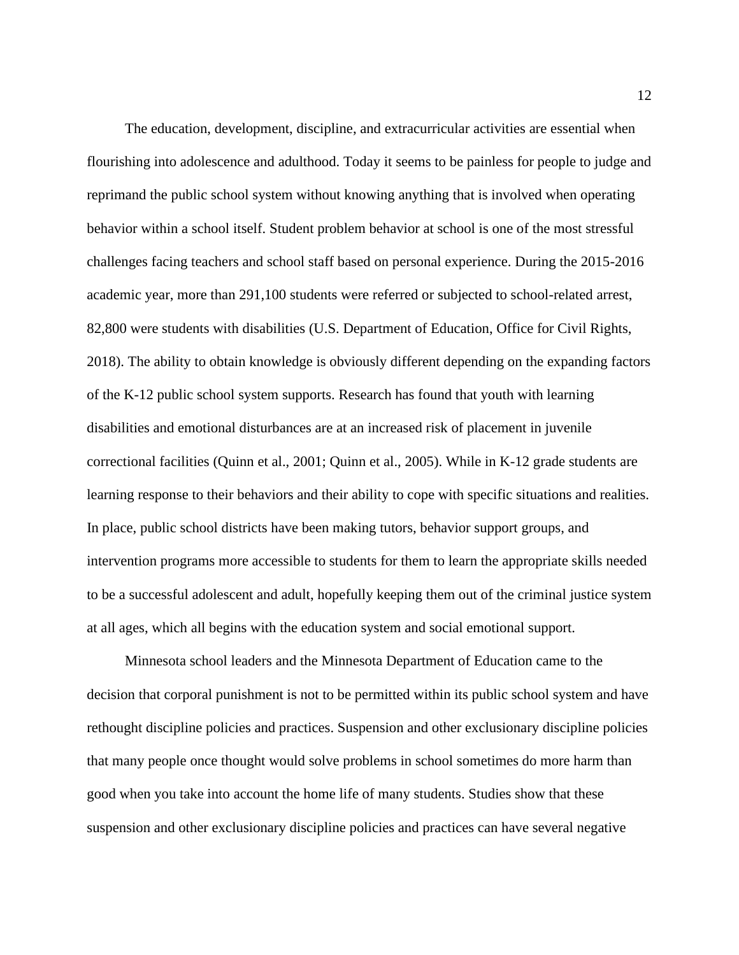The education, development, discipline, and extracurricular activities are essential when flourishing into adolescence and adulthood. Today it seems to be painless for people to judge and reprimand the public school system without knowing anything that is involved when operating behavior within a school itself. Student problem behavior at school is one of the most stressful challenges facing teachers and school staff based on personal experience. During the 2015-2016 academic year, more than 291,100 students were referred or subjected to school-related arrest, 82,800 were students with disabilities (U.S. Department of Education, Office for Civil Rights, 2018). The ability to obtain knowledge is obviously different depending on the expanding factors of the K-12 public school system supports. Research has found that youth with learning disabilities and emotional disturbances are at an increased risk of placement in juvenile correctional facilities (Quinn et al., 2001; Quinn et al., 2005). While in K-12 grade students are learning response to their behaviors and their ability to cope with specific situations and realities. In place, public school districts have been making tutors, behavior support groups, and intervention programs more accessible to students for them to learn the appropriate skills needed to be a successful adolescent and adult, hopefully keeping them out of the criminal justice system at all ages, which all begins with the education system and social emotional support.

Minnesota school leaders and the Minnesota Department of Education came to the decision that corporal punishment is not to be permitted within its public school system and have rethought discipline policies and practices. Suspension and other exclusionary discipline policies that many people once thought would solve problems in school sometimes do more harm than good when you take into account the home life of many students. Studies show that these suspension and other exclusionary discipline policies and practices can have several negative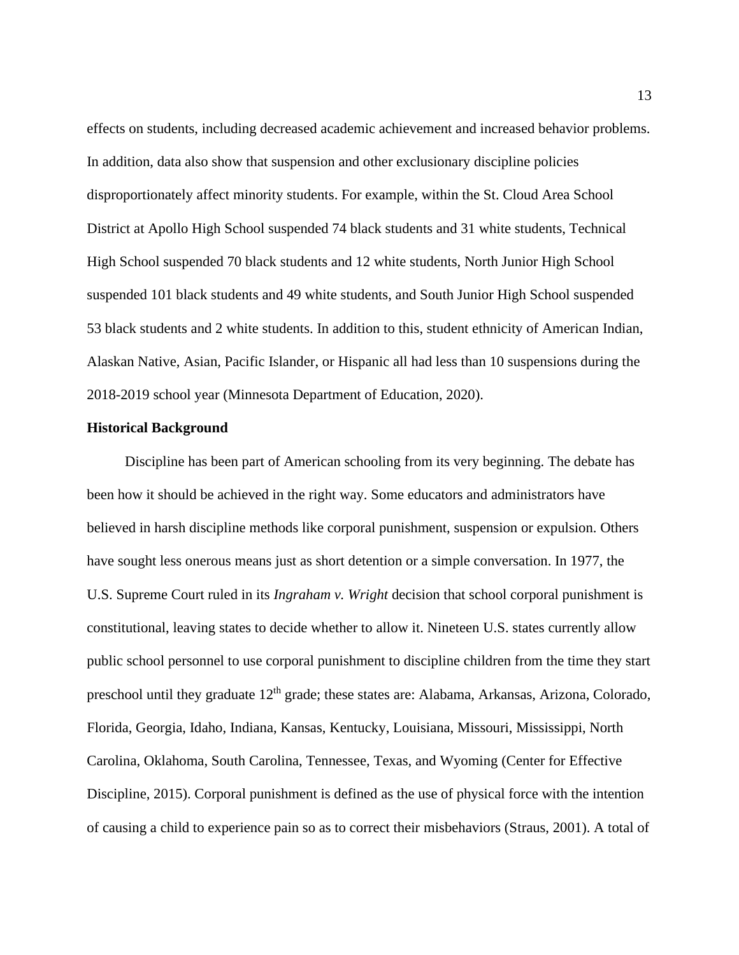effects on students, including decreased academic achievement and increased behavior problems. In addition, data also show that suspension and other exclusionary discipline policies disproportionately affect minority students. For example, within the St. Cloud Area School District at Apollo High School suspended 74 black students and 31 white students, Technical High School suspended 70 black students and 12 white students, North Junior High School suspended 101 black students and 49 white students, and South Junior High School suspended 53 black students and 2 white students. In addition to this, student ethnicity of American Indian, Alaskan Native, Asian, Pacific Islander, or Hispanic all had less than 10 suspensions during the 2018-2019 school year (Minnesota Department of Education, 2020).

#### **Historical Background**

Discipline has been part of American schooling from its very beginning. The debate has been how it should be achieved in the right way. Some educators and administrators have believed in harsh discipline methods like corporal punishment, suspension or expulsion. Others have sought less onerous means just as short detention or a simple conversation. In 1977, the U.S. Supreme Court ruled in its *Ingraham v. Wright* decision that school corporal punishment is constitutional, leaving states to decide whether to allow it. Nineteen U.S. states currently allow public school personnel to use corporal punishment to discipline children from the time they start preschool until they graduate 12<sup>th</sup> grade; these states are: Alabama, Arkansas, Arizona, Colorado, Florida, Georgia, Idaho, Indiana, Kansas, Kentucky, Louisiana, Missouri, Mississippi, North Carolina, Oklahoma, South Carolina, Tennessee, Texas, and Wyoming [\(Center for Effective](https://www.ncbi.nlm.nih.gov/pmc/articles/PMC5766273/#R25)  [Discipline, 2015\)](https://www.ncbi.nlm.nih.gov/pmc/articles/PMC5766273/#R25). Corporal punishment is defined as the use of physical force with the intention of causing a child to experience pain so as to correct their misbehaviors (Straus, 2001). A total of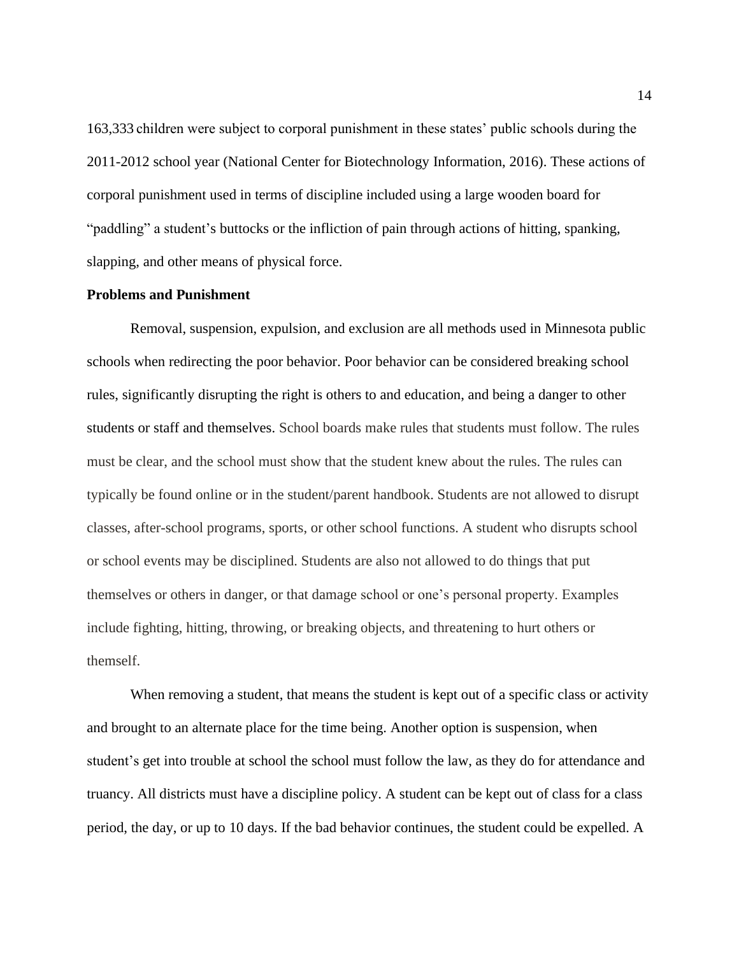163,333 children were subject to corporal punishment in these states' public schools during the 2011-2012 school year (National Center for Biotechnology Information, 2016). These actions of corporal punishment used in terms of discipline included using a large wooden board for "paddling" a student's buttocks or the infliction of pain through actions of hitting, spanking, slapping, and other means of physical force.

## **Problems and Punishment**

Removal, suspension, expulsion, and exclusion are all methods used in Minnesota public schools when redirecting the poor behavior. Poor behavior can be considered breaking school rules, significantly disrupting the right is others to and education, and being a danger to other students or staff and themselves. School boards make rules that students must follow. The rules must be clear, and the school must show that the student knew about the rules. The rules can typically be found online or in the student/parent handbook. Students are not allowed to disrupt classes, after-school programs, sports, or other school functions. A student who disrupts school or school events may be disciplined. Students are also not allowed to do things that put themselves or others in danger, or that damage school or one's personal property. Examples include fighting, hitting, throwing, or breaking objects, and threatening to hurt others or themself.

When removing a student, that means the student is kept out of a specific class or activity and brought to an alternate place for the time being. Another option is suspension, when student's get into trouble at school the school must follow the law, as they do for attendance and truancy. All districts must have a discipline policy. A student can be kept out of class for a class period, the day, or up to 10 days. If the bad behavior continues, the student could be expelled. A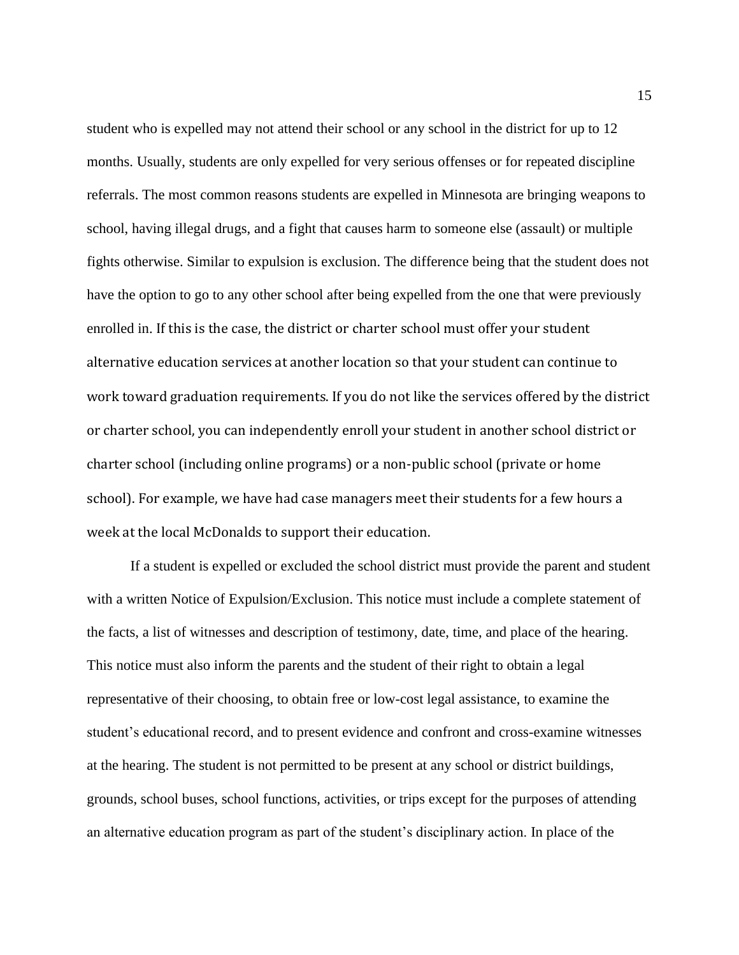student who is expelled may not attend their school or any school in the district for up to 12 months. Usually, students are only expelled for very serious offenses or for repeated discipline referrals. The most common reasons students are expelled in Minnesota are bringing weapons to school, having illegal drugs, and a fight that causes harm to someone else (assault) or multiple fights otherwise. Similar to expulsion is exclusion. The difference being that the student does not have the option to go to any other school after being expelled from the one that were previously enrolled in. If this is the case, the district or charter school must offer your student alternative education services at another location so that your student can continue to work toward graduation requirements. If you do not like the services offered by the district or charter school, you can independently enroll your student in another school district or charter school (including online programs) or a non-public school (private or home school). For example, we have had case managers meet their students for a few hours a week at the local McDonalds to support their education.

If a student is expelled or excluded the school district must provide the parent and student with a written Notice of Expulsion/Exclusion. This notice must include a complete statement of the facts, a list of witnesses and description of testimony, date, time, and place of the hearing. This notice must also inform the parents and the student of their right to obtain a legal representative of their choosing, to obtain free or low-cost legal assistance, to examine the student's educational record, and to present evidence and confront and cross-examine witnesses at the hearing. The student is not permitted to be present at any school or district buildings, grounds, school buses, school functions, activities, or trips except for the purposes of attending an alternative education program as part of the student's disciplinary action. In place of the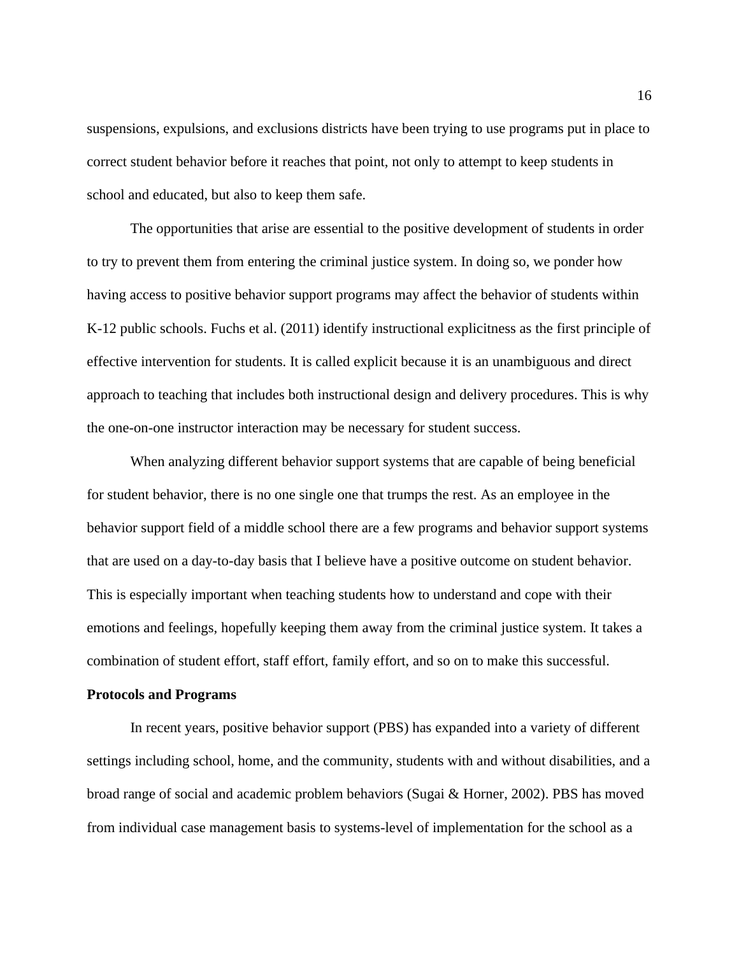suspensions, expulsions, and exclusions districts have been trying to use programs put in place to correct student behavior before it reaches that point, not only to attempt to keep students in school and educated, but also to keep them safe.

The opportunities that arise are essential to the positive development of students in order to try to prevent them from entering the criminal justice system. In doing so, we ponder how having access to positive behavior support programs may affect the behavior of students within K-12 public schools. Fuchs et al. (2011) identify instructional explicitness as the first principle of effective intervention for students. It is called explicit because it is an unambiguous and direct approach to teaching that includes both instructional design and delivery procedures. This is why the one-on-one instructor interaction may be necessary for student success.

When analyzing different behavior support systems that are capable of being beneficial for student behavior, there is no one single one that trumps the rest. As an employee in the behavior support field of a middle school there are a few programs and behavior support systems that are used on a day-to-day basis that I believe have a positive outcome on student behavior. This is especially important when teaching students how to understand and cope with their emotions and feelings, hopefully keeping them away from the criminal justice system. It takes a combination of student effort, staff effort, family effort, and so on to make this successful.

#### **Protocols and Programs**

In recent years, positive behavior support (PBS) has expanded into a variety of different settings including school, home, and the community, students with and without disabilities, and a broad range of social and academic problem behaviors (Sugai & Horner, 2002). PBS has moved from individual case management basis to systems-level of implementation for the school as a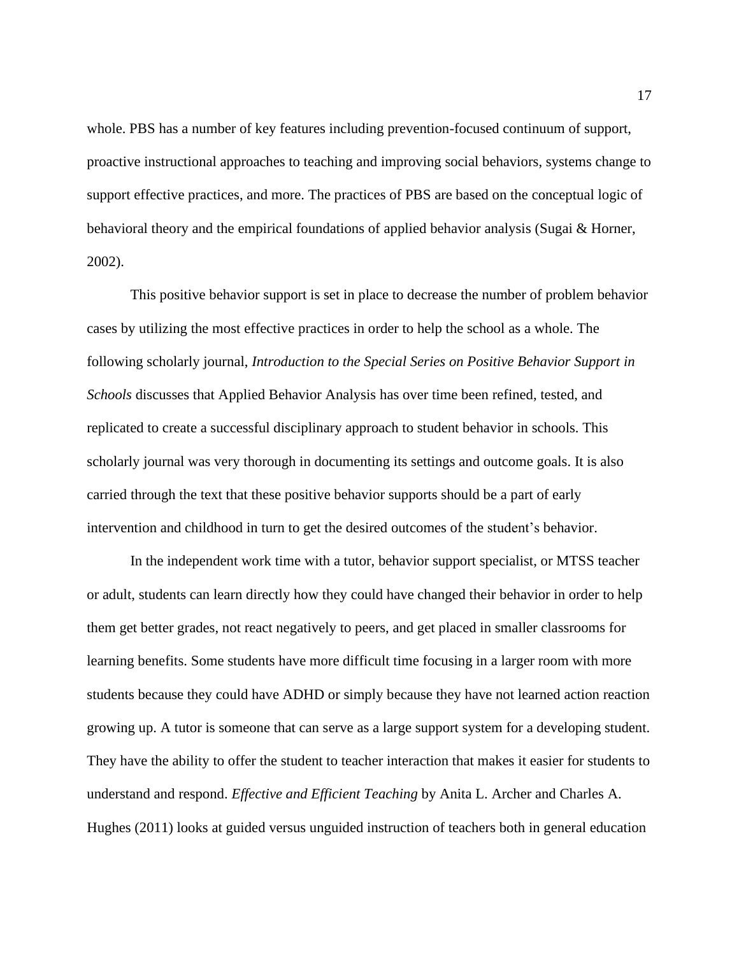whole. PBS has a number of key features including prevention-focused continuum of support, proactive instructional approaches to teaching and improving social behaviors, systems change to support effective practices, and more. The practices of PBS are based on the conceptual logic of behavioral theory and the empirical foundations of applied behavior analysis (Sugai & Horner, 2002).

This positive behavior support is set in place to decrease the number of problem behavior cases by utilizing the most effective practices in order to help the school as a whole. The following scholarly journal, *Introduction to the Special Series on Positive Behavior Support in Schools* discusses that Applied Behavior Analysis has over time been refined, tested, and replicated to create a successful disciplinary approach to student behavior in schools. This scholarly journal was very thorough in documenting its settings and outcome goals. It is also carried through the text that these positive behavior supports should be a part of early intervention and childhood in turn to get the desired outcomes of the student's behavior.

In the independent work time with a tutor, behavior support specialist, or MTSS teacher or adult, students can learn directly how they could have changed their behavior in order to help them get better grades, not react negatively to peers, and get placed in smaller classrooms for learning benefits. Some students have more difficult time focusing in a larger room with more students because they could have ADHD or simply because they have not learned action reaction growing up. A tutor is someone that can serve as a large support system for a developing student. They have the ability to offer the student to teacher interaction that makes it easier for students to understand and respond. *Effective and Efficient Teaching* by Anita L. Archer and Charles A. Hughes (2011) looks at guided versus unguided instruction of teachers both in general education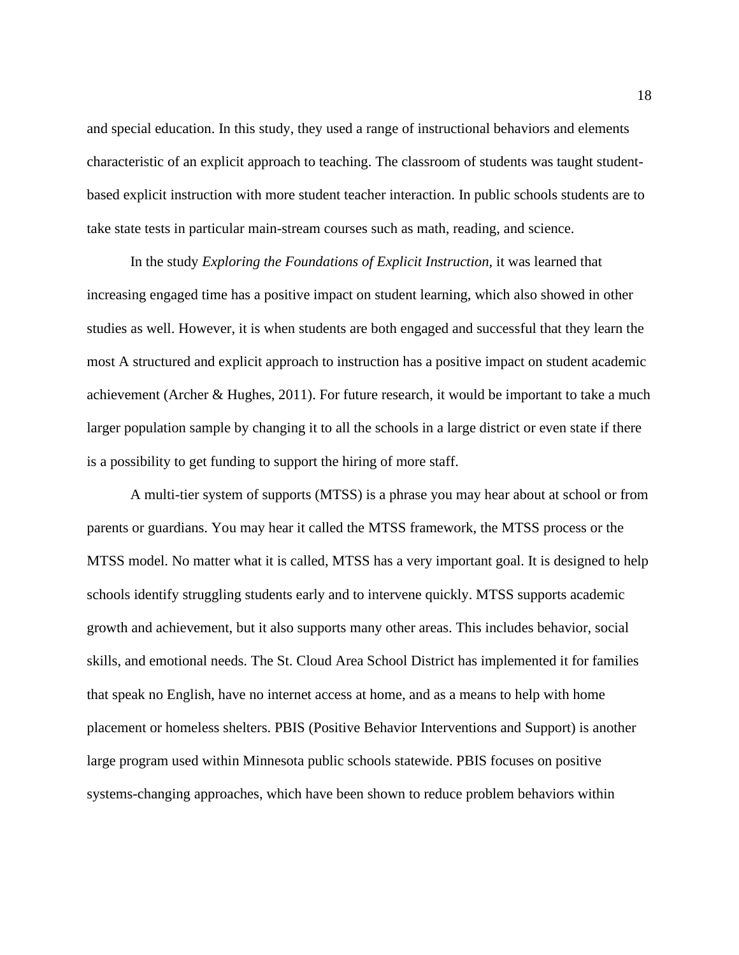and special education. In this study, they used a range of instructional behaviors and elements characteristic of an explicit approach to teaching. The classroom of students was taught studentbased explicit instruction with more student teacher interaction. In public schools students are to take state tests in particular main-stream courses such as math, reading, and science.

In the study *Exploring the Foundations of Explicit Instruction,* it was learned that increasing engaged time has a positive impact on student learning, which also showed in other studies as well. However, it is when students are both engaged and successful that they learn the most A structured and explicit approach to instruction has a positive impact on student academic achievement (Archer & Hughes, 2011). For future research, it would be important to take a much larger population sample by changing it to all the schools in a large district or even state if there is a possibility to get funding to support the hiring of more staff.

A multi-tier system of supports (MTSS) is a phrase you may hear about at school or from parents or guardians. You may hear it called the MTSS framework, the MTSS process or the MTSS model. No matter what it is called, MTSS has a very important goal. It is designed to help schools identify struggling students early and to intervene quickly. MTSS supports academic growth and achievement, but it also supports many other areas. This includes behavior, social skills, and emotional needs. The St. Cloud Area School District has implemented it for families that speak no English, have no internet access at home, and as a means to help with home placement or homeless shelters. PBIS (Positive Behavior Interventions and Support) is another large program used within Minnesota public schools statewide. PBIS focuses on positive systems-changing approaches, which have been shown to reduce problem behaviors within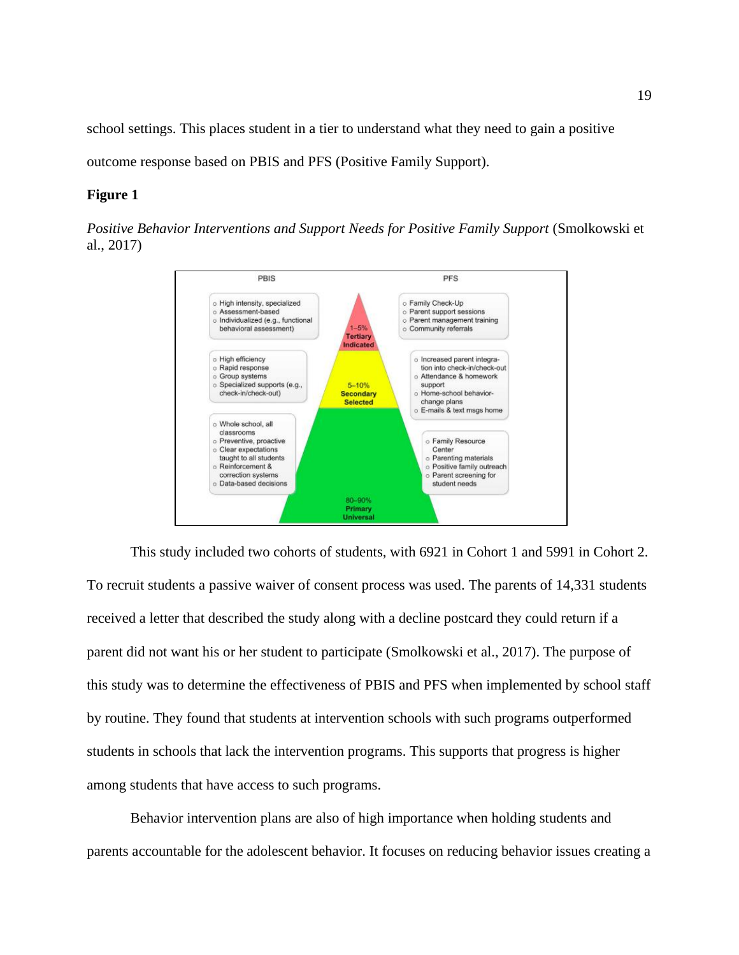school settings. This places student in a tier to understand what they need to gain a positive

outcome response based on PBIS and PFS (Positive Family Support).

## **Figure 1**

*Positive Behavior Interventions and Support Needs for Positive Family Support* (Smolkowski et al., 2017)



This study included two cohorts of students, with 6921 in Cohort 1 and 5991 in Cohort 2. To recruit students a passive waiver of consent process was used. The parents of 14,331 students received a letter that described the study along with a decline postcard they could return if a parent did not want his or her student to participate (Smolkowski et al., 2017). The purpose of this study was to determine the effectiveness of PBIS and PFS when implemented by school staff by routine. They found that students at intervention schools with such programs outperformed students in schools that lack the intervention programs. This supports that progress is higher among students that have access to such programs.

Behavior intervention plans are also of high importance when holding students and parents accountable for the adolescent behavior. It focuses on reducing behavior issues creating a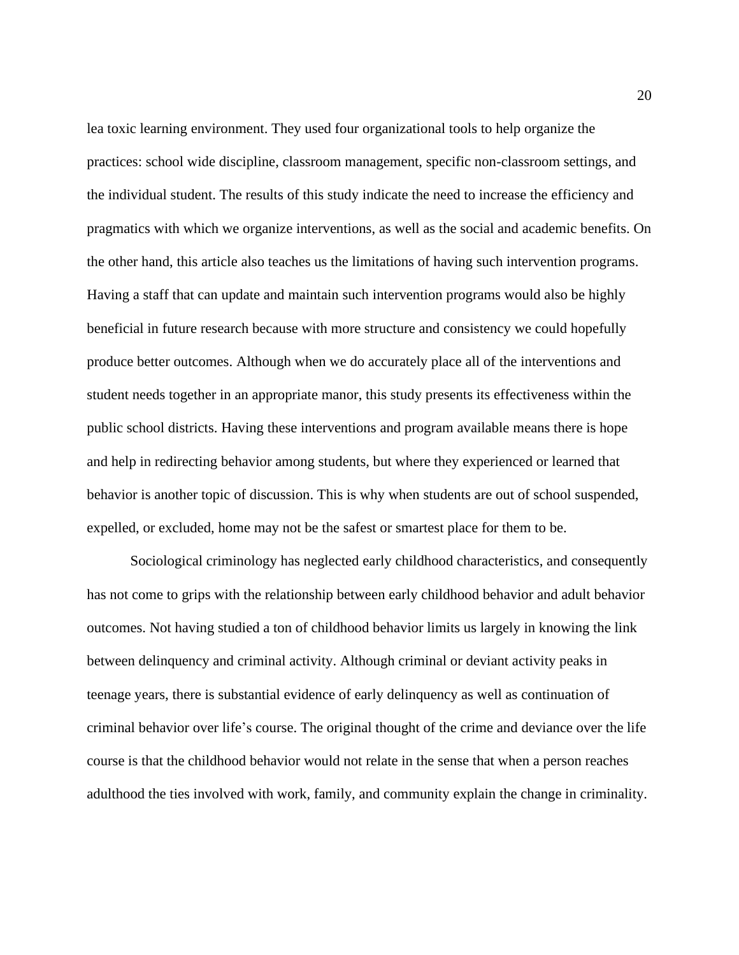lea toxic learning environment. They used four organizational tools to help organize the practices: school wide discipline, classroom management, specific non-classroom settings, and the individual student. The results of this study indicate the need to increase the efficiency and pragmatics with which we organize interventions, as well as the social and academic benefits. On the other hand, this article also teaches us the limitations of having such intervention programs. Having a staff that can update and maintain such intervention programs would also be highly beneficial in future research because with more structure and consistency we could hopefully produce better outcomes. Although when we do accurately place all of the interventions and student needs together in an appropriate manor, this study presents its effectiveness within the public school districts. Having these interventions and program available means there is hope and help in redirecting behavior among students, but where they experienced or learned that behavior is another topic of discussion. This is why when students are out of school suspended, expelled, or excluded, home may not be the safest or smartest place for them to be.

Sociological criminology has neglected early childhood characteristics, and consequently has not come to grips with the relationship between early childhood behavior and adult behavior outcomes. Not having studied a ton of childhood behavior limits us largely in knowing the link between delinquency and criminal activity. Although criminal or deviant activity peaks in teenage years, there is substantial evidence of early delinquency as well as continuation of criminal behavior over life's course. The original thought of the crime and deviance over the life course is that the childhood behavior would not relate in the sense that when a person reaches adulthood the ties involved with work, family, and community explain the change in criminality.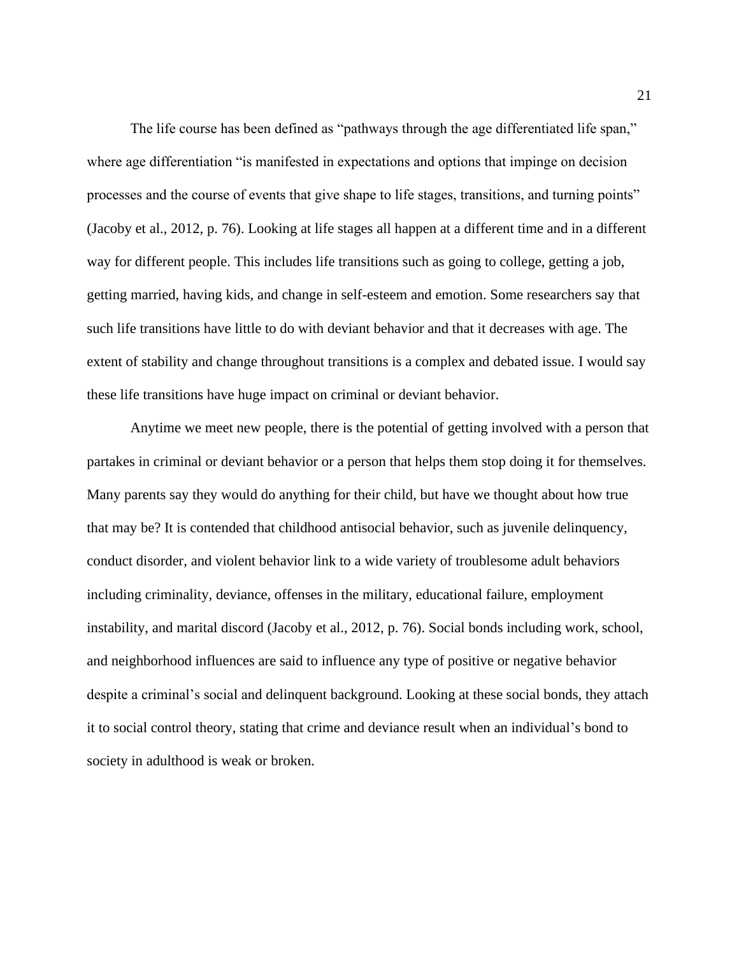The life course has been defined as "pathways through the age differentiated life span," where age differentiation "is manifested in expectations and options that impinge on decision processes and the course of events that give shape to life stages, transitions, and turning points" (Jacoby et al., 2012, p. 76). Looking at life stages all happen at a different time and in a different way for different people. This includes life transitions such as going to college, getting a job, getting married, having kids, and change in self-esteem and emotion. Some researchers say that such life transitions have little to do with deviant behavior and that it decreases with age. The extent of stability and change throughout transitions is a complex and debated issue. I would say these life transitions have huge impact on criminal or deviant behavior.

Anytime we meet new people, there is the potential of getting involved with a person that partakes in criminal or deviant behavior or a person that helps them stop doing it for themselves. Many parents say they would do anything for their child, but have we thought about how true that may be? It is contended that childhood antisocial behavior, such as juvenile delinquency, conduct disorder, and violent behavior link to a wide variety of troublesome adult behaviors including criminality, deviance, offenses in the military, educational failure, employment instability, and marital discord (Jacoby et al., 2012, p. 76). Social bonds including work, school, and neighborhood influences are said to influence any type of positive or negative behavior despite a criminal's social and delinquent background. Looking at these social bonds, they attach it to social control theory, stating that crime and deviance result when an individual's bond to society in adulthood is weak or broken.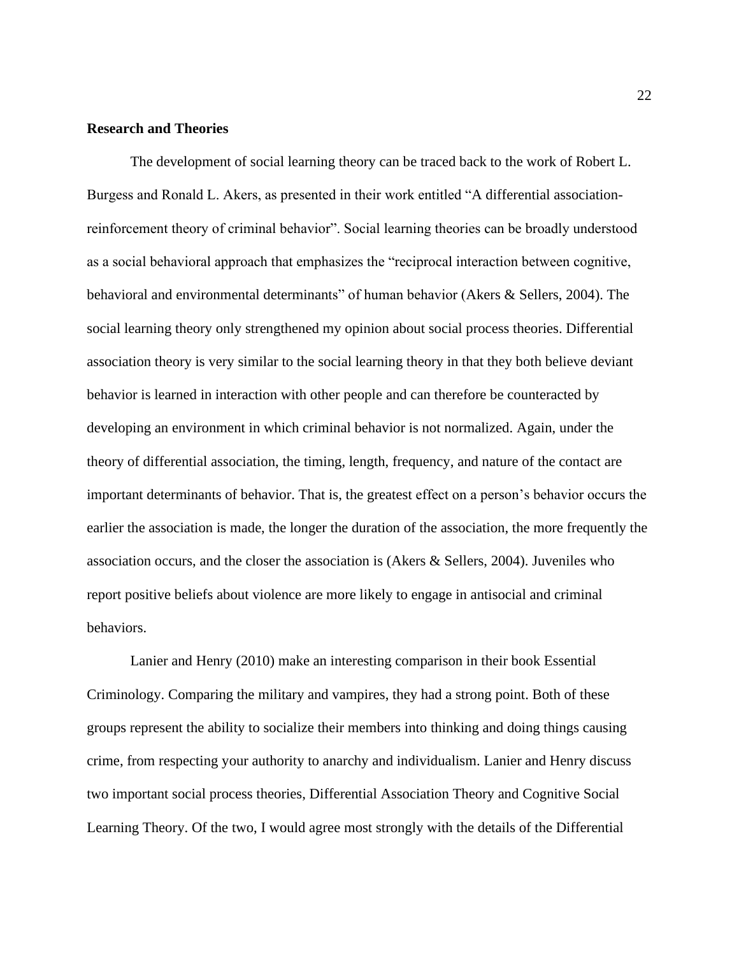#### **Research and Theories**

The development of social learning theory can be traced back to the work of Robert L. Burgess and Ronald L. Akers, as presented in their work entitled "A differential associationreinforcement theory of criminal behavior". Social learning theories can be broadly understood as a social behavioral approach that emphasizes the "reciprocal interaction between cognitive, behavioral and environmental determinants" of human behavior (Akers & Sellers, 2004). The social learning theory only strengthened my opinion about social process theories. Differential association theory is very similar to the social learning theory in that they both believe deviant behavior is learned in interaction with other people and can therefore be counteracted by developing an environment in which criminal behavior is not normalized. Again, under the theory of differential association, the timing, length, frequency, and nature of the contact are important determinants of behavior. That is, the greatest effect on a person's behavior occurs the earlier the association is made, the longer the duration of the association, the more frequently the association occurs, and the closer the association is (Akers  $\&$  Sellers, 2004). Juveniles who report positive beliefs about violence are more likely to engage in antisocial and criminal behaviors.

Lanier and Henry (2010) make an interesting comparison in their book Essential Criminology. Comparing the military and vampires, they had a strong point. Both of these groups represent the ability to socialize their members into thinking and doing things causing crime, from respecting your authority to anarchy and individualism. Lanier and Henry discuss two important social process theories, Differential Association Theory and Cognitive Social Learning Theory. Of the two, I would agree most strongly with the details of the Differential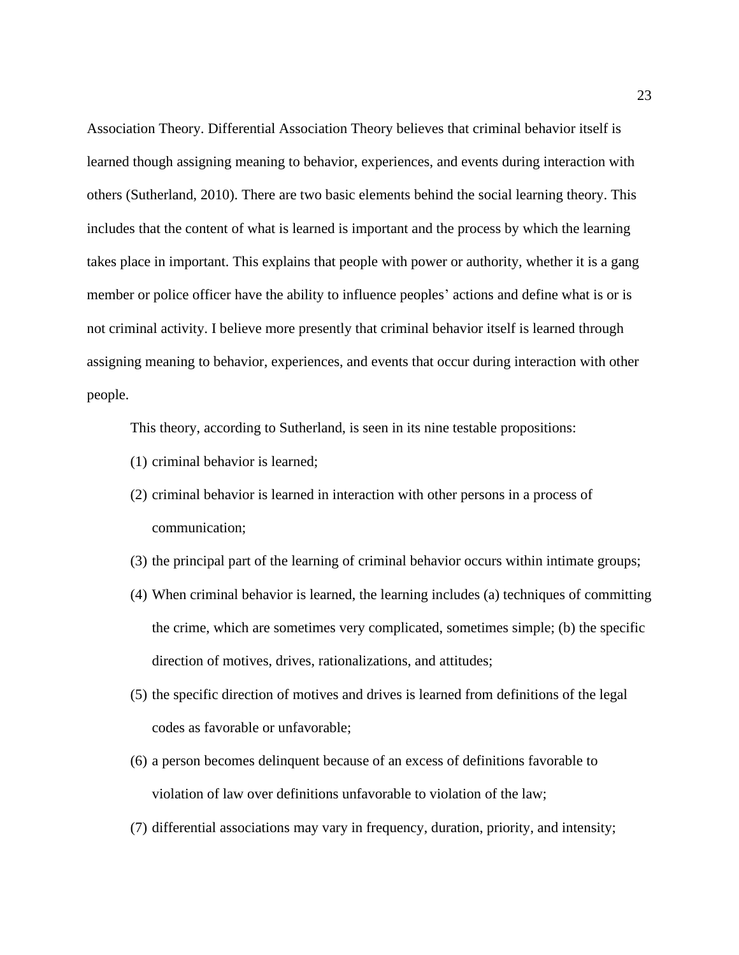Association Theory. Differential Association Theory believes that criminal behavior itself is learned though assigning meaning to behavior, experiences, and events during interaction with others (Sutherland, 2010). There are two basic elements behind the social learning theory. This includes that the content of what is learned is important and the process by which the learning takes place in important. This explains that people with power or authority, whether it is a gang member or police officer have the ability to influence peoples' actions and define what is or is not criminal activity. I believe more presently that criminal behavior itself is learned through assigning meaning to behavior, experiences, and events that occur during interaction with other people.

This theory, according to Sutherland, is seen in its nine testable propositions:

- (1) criminal behavior is learned;
- (2) criminal behavior is learned in interaction with other persons in a process of communication;
- (3) the principal part of the learning of criminal behavior occurs within intimate groups;
- (4) When criminal behavior is learned, the learning includes (a) techniques of committing the crime, which are sometimes very complicated, sometimes simple; (b) the specific direction of motives, drives, rationalizations, and attitudes;
- (5) the specific direction of motives and drives is learned from definitions of the legal codes as favorable or unfavorable;
- (6) a person becomes delinquent because of an excess of definitions favorable to violation of law over definitions unfavorable to violation of the law;
- (7) differential associations may vary in frequency, duration, priority, and intensity;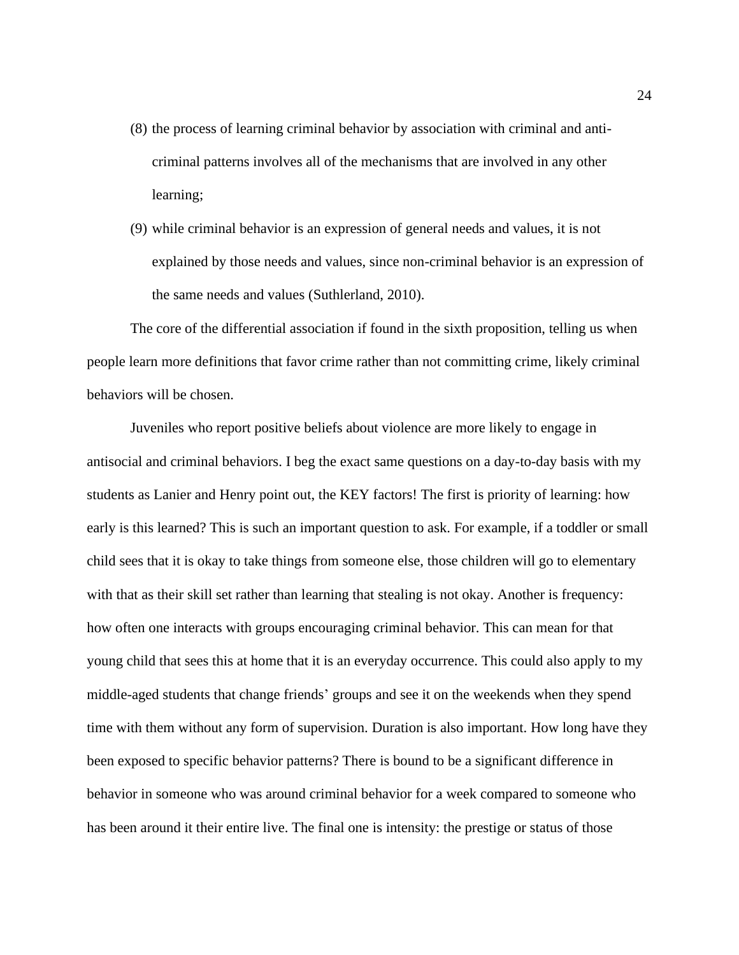- (8) the process of learning criminal behavior by association with criminal and anticriminal patterns involves all of the mechanisms that are involved in any other learning;
- (9) while criminal behavior is an expression of general needs and values, it is not explained by those needs and values, since non-criminal behavior is an expression of the same needs and values (Suthlerland, 2010).

The core of the differential association if found in the sixth proposition, telling us when people learn more definitions that favor crime rather than not committing crime, likely criminal behaviors will be chosen.

Juveniles who report positive beliefs about violence are more likely to engage in antisocial and criminal behaviors. I beg the exact same questions on a day-to-day basis with my students as Lanier and Henry point out, the KEY factors! The first is priority of learning: how early is this learned? This is such an important question to ask. For example, if a toddler or small child sees that it is okay to take things from someone else, those children will go to elementary with that as their skill set rather than learning that stealing is not okay. Another is frequency: how often one interacts with groups encouraging criminal behavior. This can mean for that young child that sees this at home that it is an everyday occurrence. This could also apply to my middle-aged students that change friends' groups and see it on the weekends when they spend time with them without any form of supervision. Duration is also important. How long have they been exposed to specific behavior patterns? There is bound to be a significant difference in behavior in someone who was around criminal behavior for a week compared to someone who has been around it their entire live. The final one is intensity: the prestige or status of those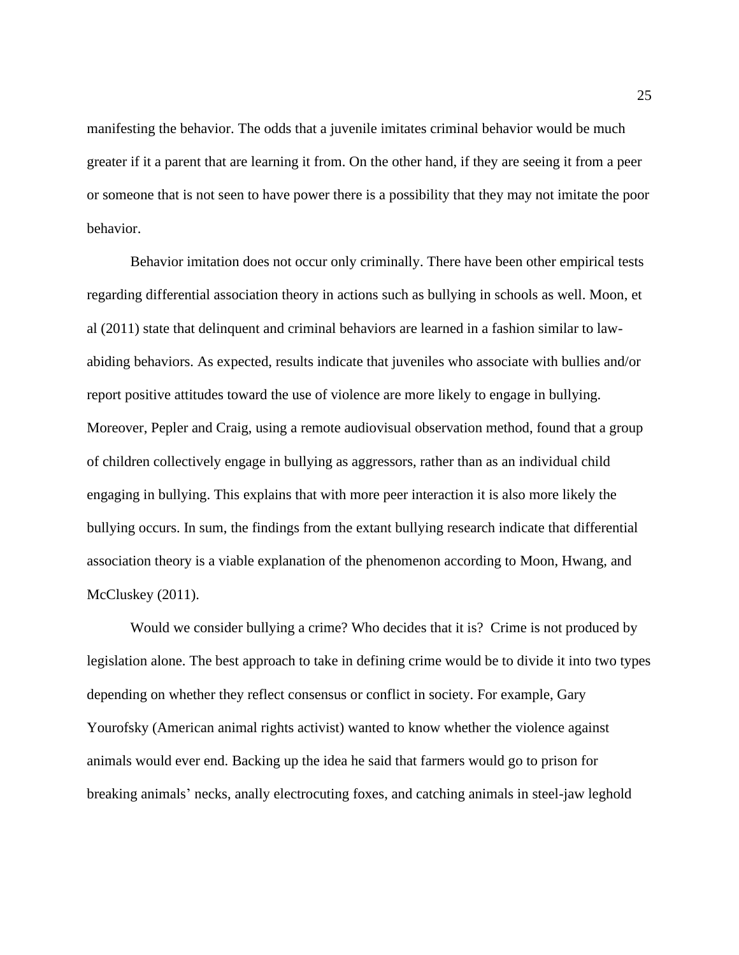manifesting the behavior. The odds that a juvenile imitates criminal behavior would be much greater if it a parent that are learning it from. On the other hand, if they are seeing it from a peer or someone that is not seen to have power there is a possibility that they may not imitate the poor behavior.

Behavior imitation does not occur only criminally. There have been other empirical tests regarding differential association theory in actions such as bullying in schools as well. Moon, et al (2011) state that delinquent and criminal behaviors are learned in a fashion similar to lawabiding behaviors. As expected, results indicate that juveniles who associate with bullies and/or report positive attitudes toward the use of violence are more likely to engage in bullying. Moreover, Pepler and Craig, using a remote audiovisual observation method, found that a group of children collectively engage in bullying as aggressors, rather than as an individual child engaging in bullying. This explains that with more peer interaction it is also more likely the bullying occurs. In sum, the findings from the extant bullying research indicate that differential association theory is a viable explanation of the phenomenon according to Moon, Hwang, and McCluskey (2011).

Would we consider bullying a crime? Who decides that it is? Crime is not produced by legislation alone. The best approach to take in defining crime would be to divide it into two types depending on whether they reflect consensus or conflict in society. For example, Gary Yourofsky (American animal rights activist) wanted to know whether the violence against animals would ever end. Backing up the idea he said that farmers would go to prison for breaking animals' necks, anally electrocuting foxes, and catching animals in steel-jaw leghold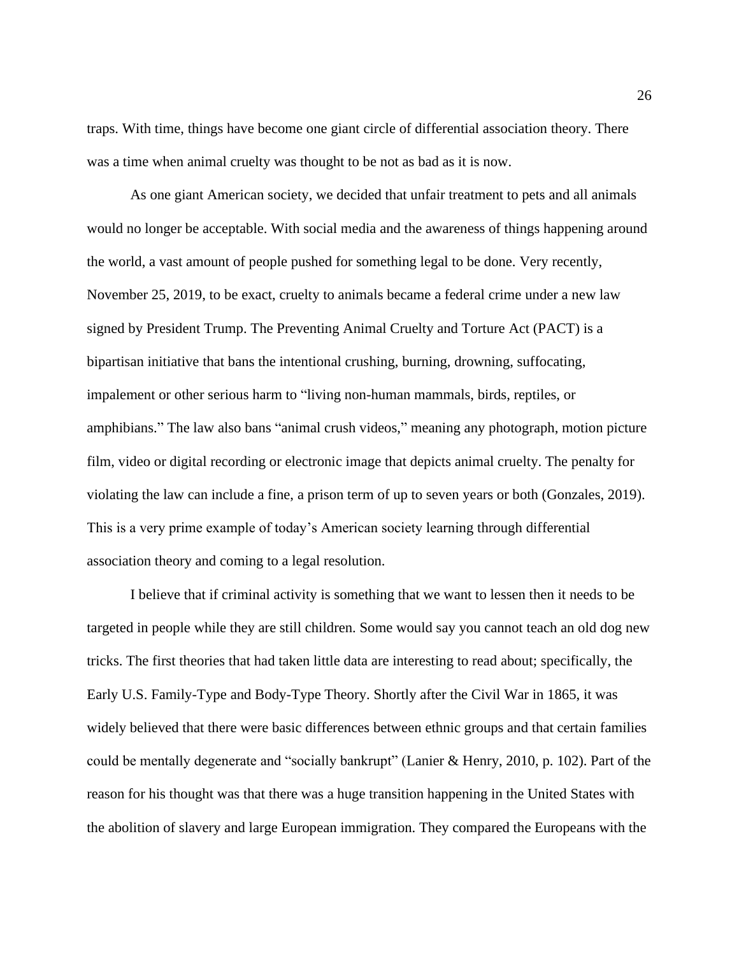traps. With time, things have become one giant circle of differential association theory. There was a time when animal cruelty was thought to be not as bad as it is now.

As one giant American society, we decided that unfair treatment to pets and all animals would no longer be acceptable. With social media and the awareness of things happening around the world, a vast amount of people pushed for something legal to be done. Very recently, November 25, 2019, to be exact, cruelty to animals became a federal crime under a [new](https://www.congress.gov/bill/116th-congress/house-bill/724/text) law signed by President Trump. The Preventing Animal Cruelty and Torture Act (PACT) is a bipartisan initiative that bans the intentional crushing, burning, drowning, suffocating, impalement or other serious harm to "living non-human mammals, birds, reptiles, or amphibians." The law also bans "animal crush videos," meaning any photograph, motion picture film, video or digital recording or electronic image that depicts animal cruelty. The penalty for violating the law can include a fine, a prison term of up to seven years or both (Gonzales, 2019). This is a very prime example of today's American society learning through differential association theory and coming to a legal resolution.

I believe that if criminal activity is something that we want to lessen then it needs to be targeted in people while they are still children. Some would say you cannot teach an old dog new tricks. The first theories that had taken little data are interesting to read about; specifically, the Early U.S. Family-Type and Body-Type Theory. Shortly after the Civil War in 1865, it was widely believed that there were basic differences between ethnic groups and that certain families could be mentally degenerate and "socially bankrupt" (Lanier & Henry, 2010, p. 102). Part of the reason for his thought was that there was a huge transition happening in the United States with the abolition of slavery and large European immigration. They compared the Europeans with the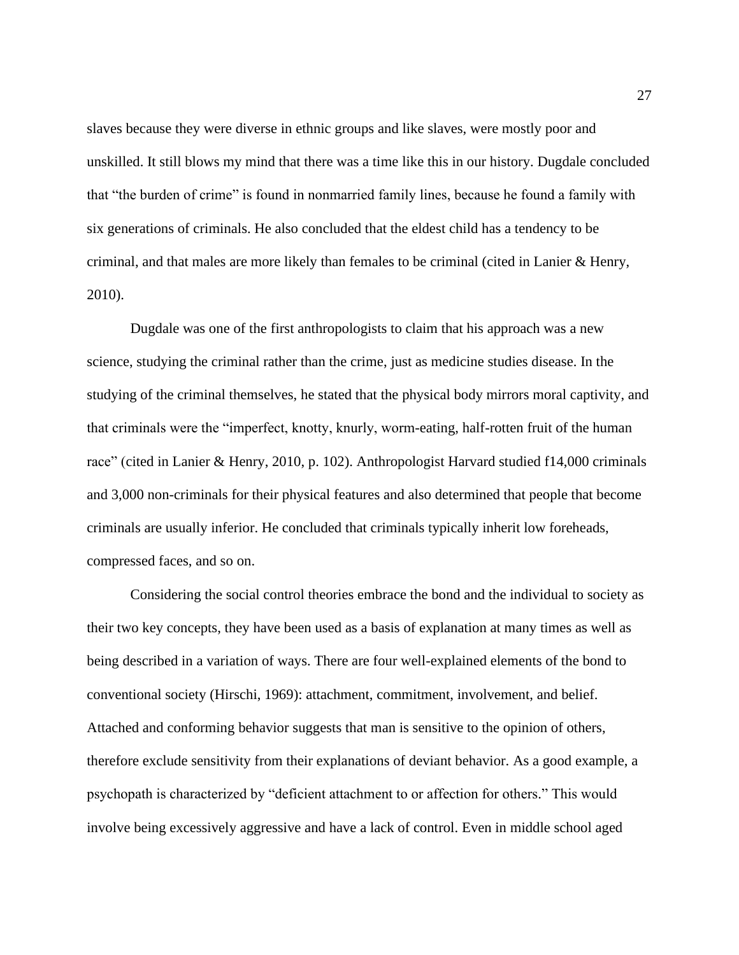slaves because they were diverse in ethnic groups and like slaves, were mostly poor and unskilled. It still blows my mind that there was a time like this in our history. Dugdale concluded that "the burden of crime" is found in nonmarried family lines, because he found a family with six generations of criminals. He also concluded that the eldest child has a tendency to be criminal, and that males are more likely than females to be criminal (cited in Lanier & Henry, 2010).

Dugdale was one of the first anthropologists to claim that his approach was a new science, studying the criminal rather than the crime, just as medicine studies disease. In the studying of the criminal themselves, he stated that the physical body mirrors moral captivity, and that criminals were the "imperfect, knotty, knurly, worm-eating, half-rotten fruit of the human race" (cited in Lanier & Henry, 2010, p. 102). Anthropologist Harvard studied f14,000 criminals and 3,000 non-criminals for their physical features and also determined that people that become criminals are usually inferior. He concluded that criminals typically inherit low foreheads, compressed faces, and so on.

Considering the social control theories embrace the bond and the individual to society as their two key concepts, they have been used as a basis of explanation at many times as well as being described in a variation of ways. There are four well-explained elements of the bond to conventional society (Hirschi, 1969): attachment, commitment, involvement, and belief. Attached and conforming behavior suggests that man is sensitive to the opinion of others, therefore exclude sensitivity from their explanations of deviant behavior. As a good example, a psychopath is characterized by "deficient attachment to or affection for others." This would involve being excessively aggressive and have a lack of control. Even in middle school aged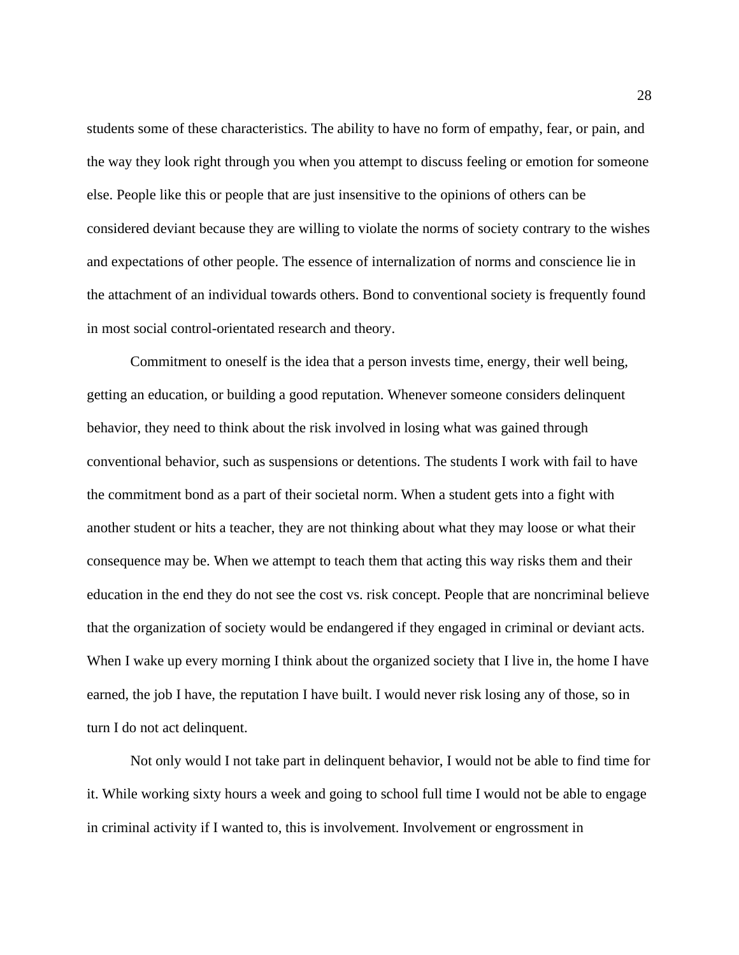students some of these characteristics. The ability to have no form of empathy, fear, or pain, and the way they look right through you when you attempt to discuss feeling or emotion for someone else. People like this or people that are just insensitive to the opinions of others can be considered deviant because they are willing to violate the norms of society contrary to the wishes and expectations of other people. The essence of internalization of norms and conscience lie in the attachment of an individual towards others. Bond to conventional society is frequently found in most social control-orientated research and theory.

Commitment to oneself is the idea that a person invests time, energy, their well being, getting an education, or building a good reputation. Whenever someone considers delinquent behavior, they need to think about the risk involved in losing what was gained through conventional behavior, such as suspensions or detentions. The students I work with fail to have the commitment bond as a part of their societal norm. When a student gets into a fight with another student or hits a teacher, they are not thinking about what they may loose or what their consequence may be. When we attempt to teach them that acting this way risks them and their education in the end they do not see the cost vs. risk concept. People that are noncriminal believe that the organization of society would be endangered if they engaged in criminal or deviant acts. When I wake up every morning I think about the organized society that I live in, the home I have earned, the job I have, the reputation I have built. I would never risk losing any of those, so in turn I do not act delinquent.

Not only would I not take part in delinquent behavior, I would not be able to find time for it. While working sixty hours a week and going to school full time I would not be able to engage in criminal activity if I wanted to, this is involvement. Involvement or engrossment in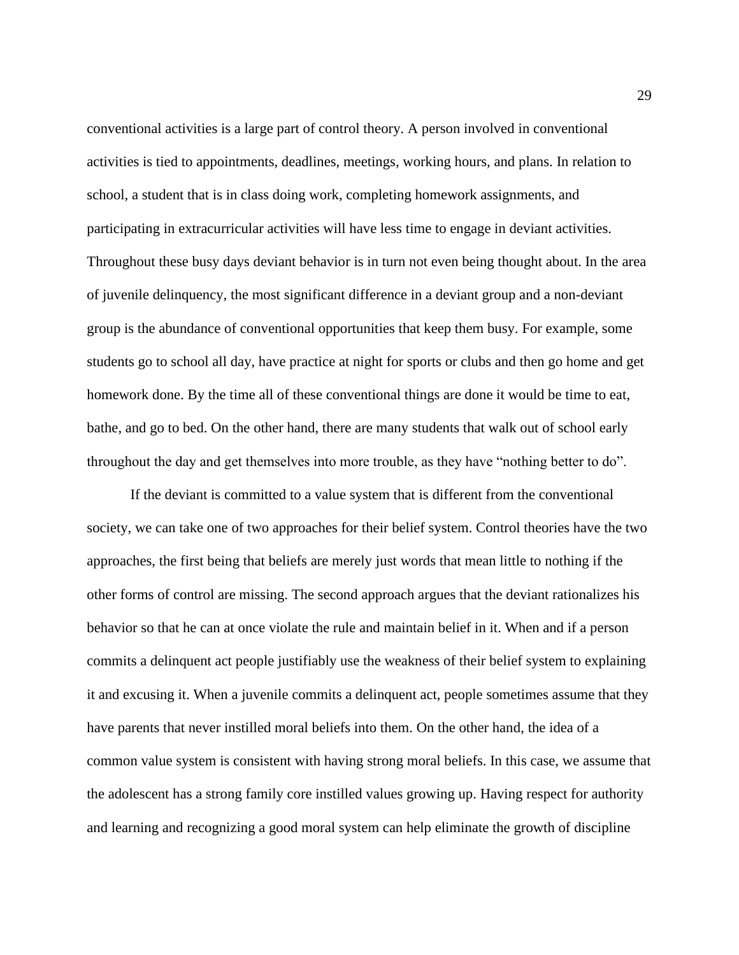conventional activities is a large part of control theory. A person involved in conventional activities is tied to appointments, deadlines, meetings, working hours, and plans. In relation to school, a student that is in class doing work, completing homework assignments, and participating in extracurricular activities will have less time to engage in deviant activities. Throughout these busy days deviant behavior is in turn not even being thought about. In the area of juvenile delinquency, the most significant difference in a deviant group and a non-deviant group is the abundance of conventional opportunities that keep them busy. For example, some students go to school all day, have practice at night for sports or clubs and then go home and get homework done. By the time all of these conventional things are done it would be time to eat, bathe, and go to bed. On the other hand, there are many students that walk out of school early throughout the day and get themselves into more trouble, as they have "nothing better to do".

If the deviant is committed to a value system that is different from the conventional society, we can take one of two approaches for their belief system. Control theories have the two approaches, the first being that beliefs are merely just words that mean little to nothing if the other forms of control are missing. The second approach argues that the deviant rationalizes his behavior so that he can at once violate the rule and maintain belief in it. When and if a person commits a delinquent act people justifiably use the weakness of their belief system to explaining it and excusing it. When a juvenile commits a delinquent act, people sometimes assume that they have parents that never instilled moral beliefs into them. On the other hand, the idea of a common value system is consistent with having strong moral beliefs. In this case, we assume that the adolescent has a strong family core instilled values growing up. Having respect for authority and learning and recognizing a good moral system can help eliminate the growth of discipline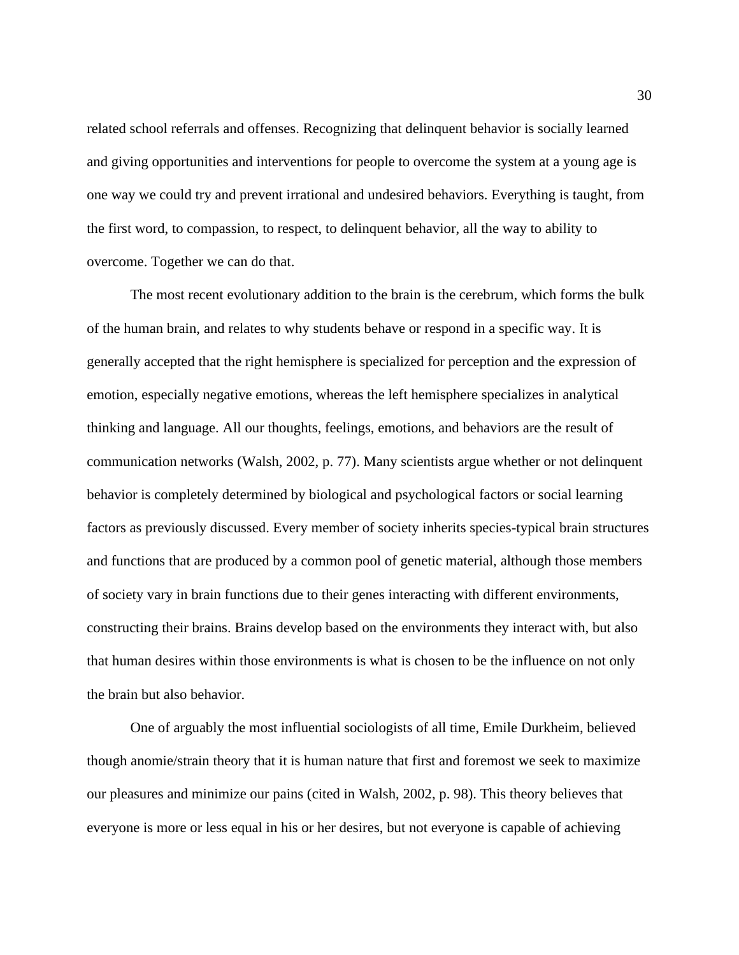related school referrals and offenses. Recognizing that delinquent behavior is socially learned and giving opportunities and interventions for people to overcome the system at a young age is one way we could try and prevent irrational and undesired behaviors. Everything is taught, from the first word, to compassion, to respect, to delinquent behavior, all the way to ability to overcome. Together we can do that.

The most recent evolutionary addition to the brain is the cerebrum, which forms the bulk of the human brain, and relates to why students behave or respond in a specific way. It is generally accepted that the right hemisphere is specialized for perception and the expression of emotion, especially negative emotions, whereas the left hemisphere specializes in analytical thinking and language. All our thoughts, feelings, emotions, and behaviors are the result of communication networks (Walsh, 2002, p. 77). Many scientists argue whether or not delinquent behavior is completely determined by biological and psychological factors or social learning factors as previously discussed. Every member of society inherits species-typical brain structures and functions that are produced by a common pool of genetic material, although those members of society vary in brain functions due to their genes interacting with different environments, constructing their brains. Brains develop based on the environments they interact with, but also that human desires within those environments is what is chosen to be the influence on not only the brain but also behavior.

One of arguably the most influential sociologists of all time, Emile Durkheim, believed though anomie/strain theory that it is human nature that first and foremost we seek to maximize our pleasures and minimize our pains (cited in Walsh, 2002, p. 98). This theory believes that everyone is more or less equal in his or her desires, but not everyone is capable of achieving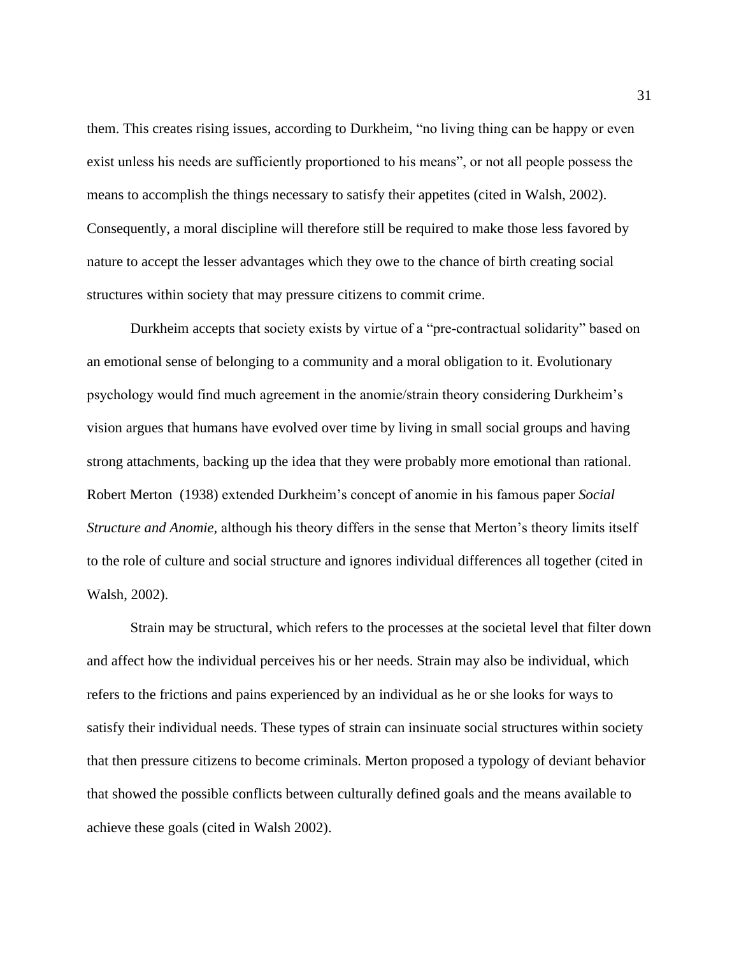them. This creates rising issues, according to Durkheim, "no living thing can be happy or even exist unless his needs are sufficiently proportioned to his means", or not all people possess the means to accomplish the things necessary to satisfy their appetites (cited in Walsh, 2002). Consequently, a moral discipline will therefore still be required to make those less favored by nature to accept the lesser advantages which they owe to the chance of birth creating social structures within society that may pressure citizens to commit crime.

Durkheim accepts that society exists by virtue of a "pre-contractual solidarity" based on an emotional sense of belonging to a community and a moral obligation to it. Evolutionary psychology would find much agreement in the anomie/strain theory considering Durkheim's vision argues that humans have evolved over time by living in small social groups and having strong attachments, backing up the idea that they were probably more emotional than rational. Robert Merton (1938) extended Durkheim's concept of anomie in his famous paper *Social Structure and Anomie,* although his theory differs in the sense that Merton's theory limits itself to the role of culture and social structure and ignores individual differences all together (cited in Walsh, 2002).

Strain may be structural, which refers to the processes at the societal level that filter down and affect how the individual perceives his or her needs. Strain may also be individual, which refers to the frictions and pains experienced by an individual as he or she looks for ways to satisfy their individual needs. These types of strain can insinuate social structures within society that then pressure citizens to become criminals. Merton proposed a typology of deviant behavior that showed the possible conflicts between culturally defined goals and the means available to achieve these goals (cited in Walsh 2002).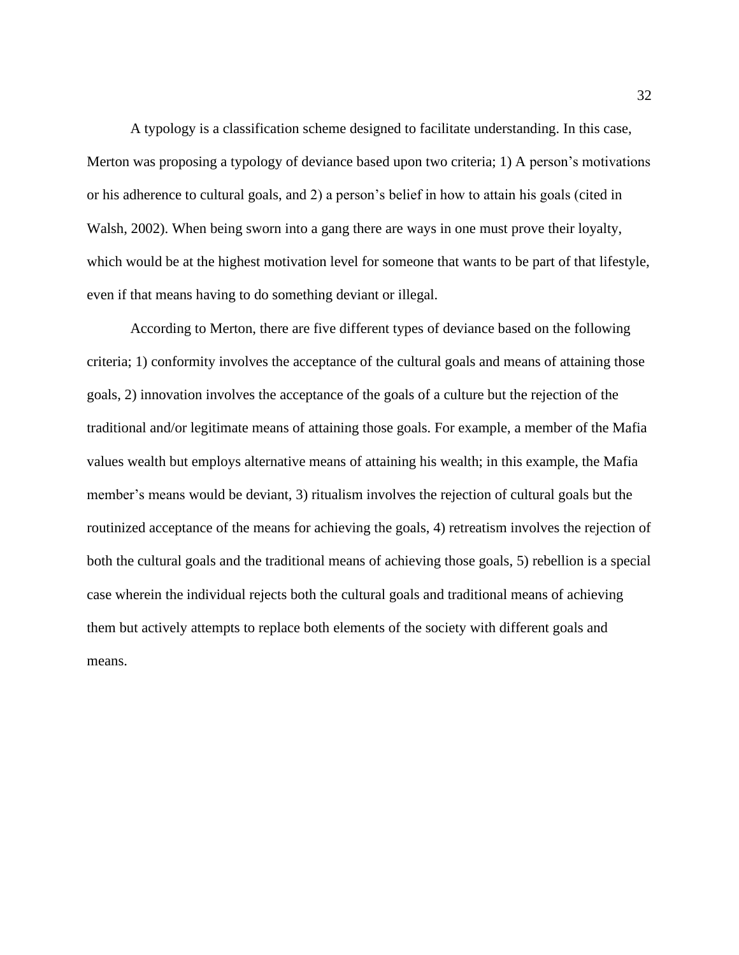A typology is a classification scheme designed to facilitate understanding. In this case, Merton was proposing a typology of deviance based upon two criteria; 1) A person's motivations or his adherence to cultural goals, and 2) a person's belief in how to attain his goals (cited in Walsh, 2002). When being sworn into a gang there are ways in one must prove their loyalty, which would be at the highest motivation level for someone that wants to be part of that lifestyle, even if that means having to do something deviant or illegal.

According to Merton, there are five different types of deviance based on the following criteria; 1) conformity involves the acceptance of the cultural goals and means of attaining those goals, 2) innovation involves the acceptance of the goals of a culture but the rejection of the traditional and/or legitimate means of attaining those goals. For example, a member of the Mafia values wealth but employs alternative means of attaining his wealth; in this example, the Mafia member's means would be deviant, 3) ritualism involves the rejection of cultural goals but the routinized acceptance of the means for achieving the goals, 4) retreatism involves the rejection of both the cultural goals and the traditional means of achieving those goals, 5) rebellion is a special case wherein the individual rejects both the cultural goals and traditional means of achieving them but actively attempts to replace both elements of the society with different goals and means.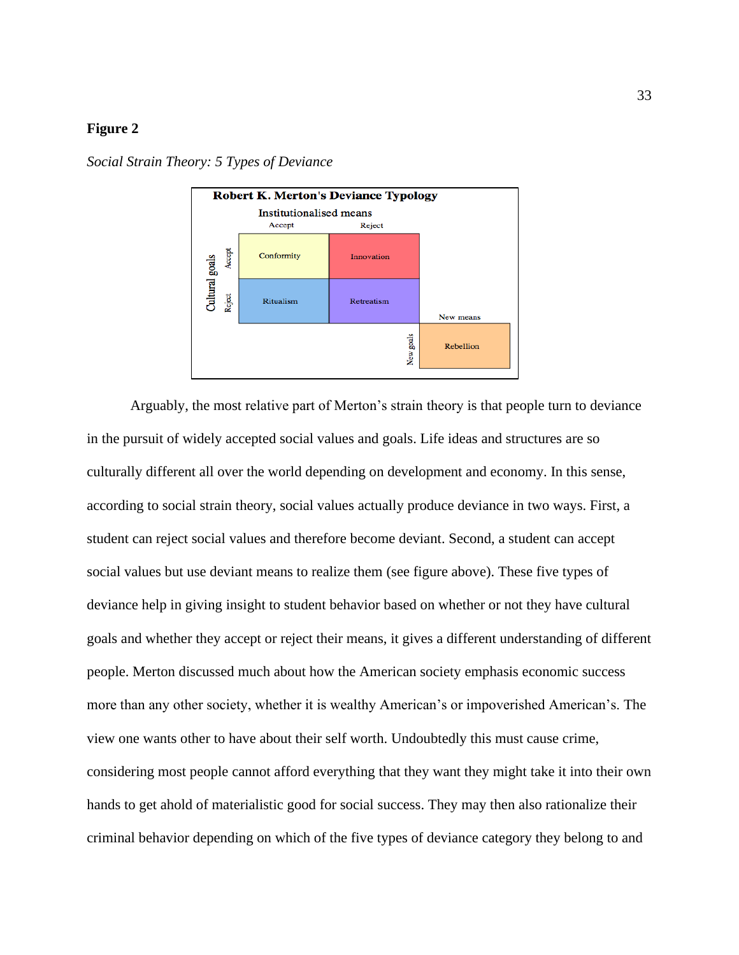## **Figure 2**



*Social Strain Theory: 5 Types of Deviance*

Arguably, the most relative part of Merton's strain theory is that people turn to deviance in the pursuit of widely accepted social values and goals. Life ideas and structures are so culturally different all over the world depending on development and economy. In this sense, according to social strain theory, social values actually produce deviance in two ways. First, a student can reject social values and therefore become deviant. Second, a student can accept social values but use deviant means to realize them (see figure above). These five types of deviance help in giving insight to student behavior based on whether or not they have cultural goals and whether they accept or reject their means, it gives a different understanding of different people. Merton discussed much about how the American society emphasis economic success more than any other society, whether it is wealthy American's or impoverished American's. The view one wants other to have about their self worth. Undoubtedly this must cause crime, considering most people cannot afford everything that they want they might take it into their own hands to get ahold of materialistic good for social success. They may then also rationalize their criminal behavior depending on which of the five types of deviance category they belong to and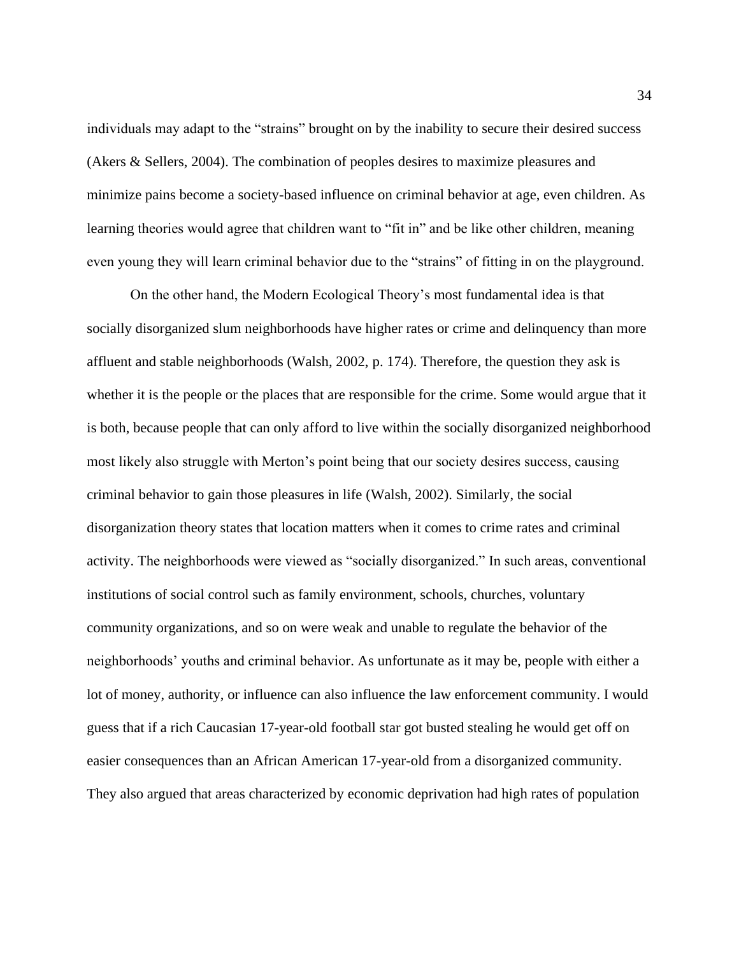individuals may adapt to the "strains" brought on by the inability to secure their desired success (Akers & Sellers, 2004). The combination of peoples desires to maximize pleasures and minimize pains become a society-based influence on criminal behavior at age, even children. As learning theories would agree that children want to "fit in" and be like other children, meaning even young they will learn criminal behavior due to the "strains" of fitting in on the playground.

On the other hand, the Modern Ecological Theory's most fundamental idea is that socially disorganized slum neighborhoods have higher rates or crime and delinquency than more affluent and stable neighborhoods (Walsh, 2002, p. 174). Therefore, the question they ask is whether it is the people or the places that are responsible for the crime. Some would argue that it is both, because people that can only afford to live within the socially disorganized neighborhood most likely also struggle with Merton's point being that our society desires success, causing criminal behavior to gain those pleasures in life (Walsh, 2002). Similarly, the social disorganization theory states that location matters when it comes to crime rates and criminal activity. The neighborhoods were viewed as "socially disorganized." In such areas, conventional institutions of social control such as family environment, schools, churches, voluntary community organizations, and so on were weak and unable to regulate the behavior of the neighborhoods' youths and criminal behavior. As unfortunate as it may be, people with either a lot of money, authority, or influence can also influence the law enforcement community. I would guess that if a rich Caucasian 17-year-old football star got busted stealing he would get off on easier consequences than an African American 17-year-old from a disorganized community. They also argued that areas characterized by economic deprivation had high rates of population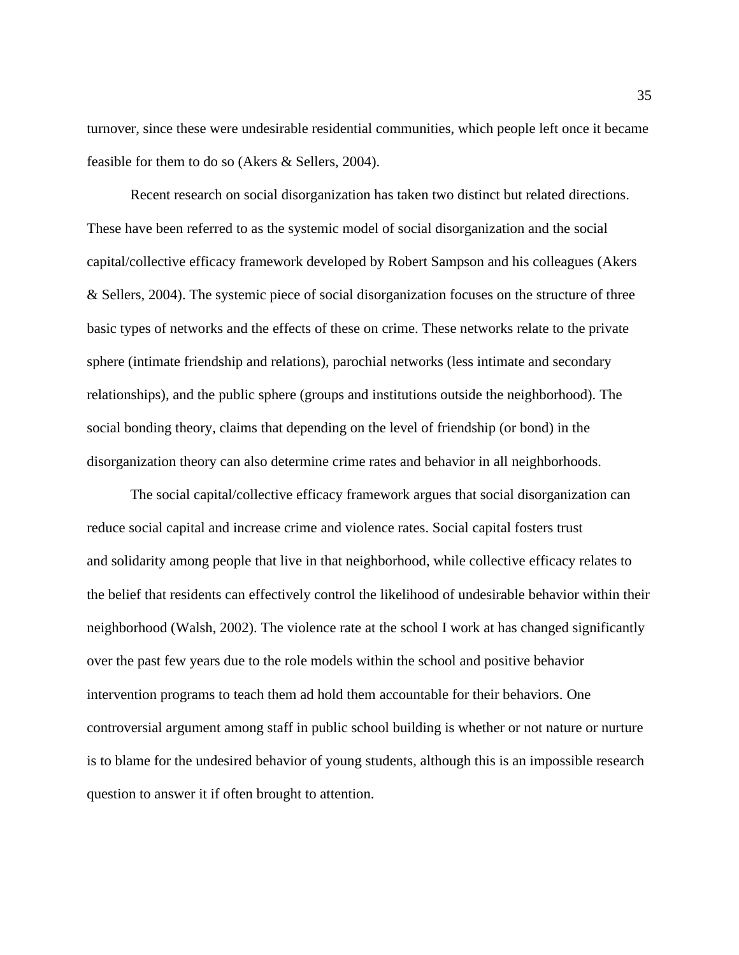turnover, since these were undesirable residential communities, which people left once it became feasible for them to do so (Akers & Sellers, 2004).

Recent research on social disorganization has taken two distinct but related directions. These have been referred to as the systemic model of social disorganization and the social capital/collective efficacy framework developed by Robert Sampson and his colleagues (Akers & Sellers, 2004). The systemic piece of social disorganization focuses on the structure of three basic types of networks and the effects of these on crime. These networks relate to the private sphere (intimate friendship and relations), parochial networks (less intimate and secondary relationships), and the public sphere (groups and institutions outside the neighborhood). The social bonding theory, claims that depending on the level of friendship (or bond) in the disorganization theory can also determine crime rates and behavior in all neighborhoods.

The social capital/collective efficacy framework argues that social disorganization can reduce social capital and increase crime and violence rates. Social capital fosters trust and solidarity among people that live in that neighborhood, while collective efficacy relates to the belief that residents can effectively control the likelihood of undesirable behavior within their neighborhood (Walsh, 2002). The violence rate at the school I work at has changed significantly over the past few years due to the role models within the school and positive behavior intervention programs to teach them ad hold them accountable for their behaviors. One controversial argument among staff in public school building is whether or not nature or nurture is to blame for the undesired behavior of young students, although this is an impossible research question to answer it if often brought to attention.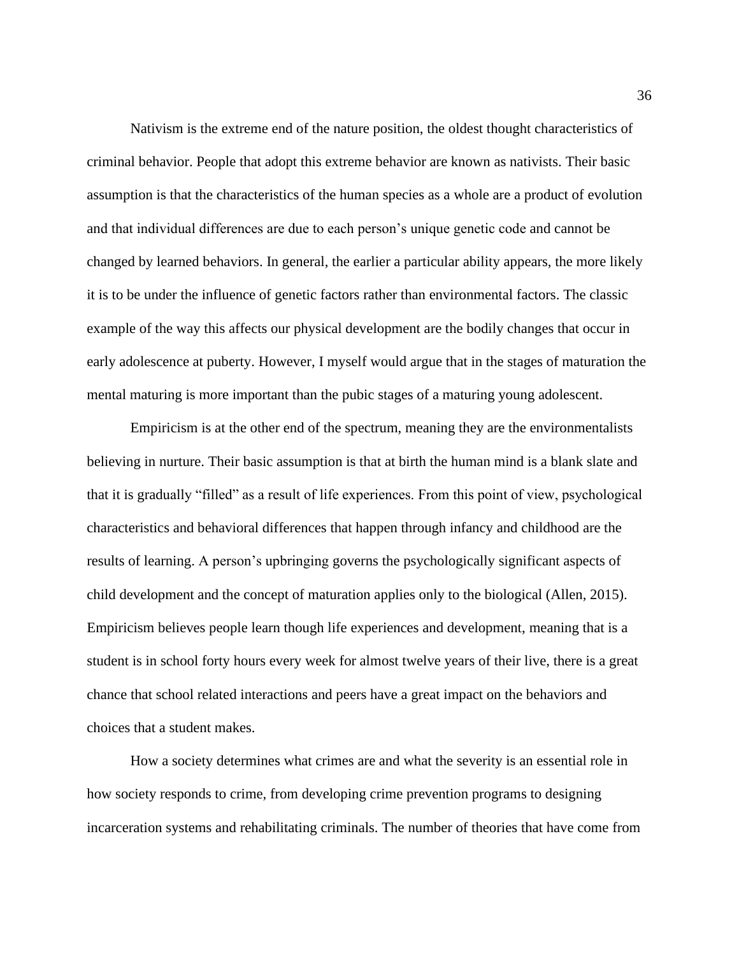Nativism is the extreme end of the nature position, the oldest thought characteristics of criminal behavior. People that adopt this extreme behavior are known as nativists. Their basic assumption is that the characteristics of the human species as a whole are a product of evolution and that individual differences are due to each person's unique genetic code and cannot be changed by learned behaviors. In general, the earlier a particular ability appears, the more likely it is to be under the influence of genetic factors rather than environmental factors. The classic example of the way this affects our physical development are the bodily changes that occur in early adolescence at puberty. However, I myself would argue that in the stages of maturation the mental maturing is more important than the pubic stages of a maturing young adolescent.

Empiricism is at the other end of the spectrum, meaning they are the environmentalists believing in nurture. Their basic assumption is that at birth the human mind is a blank slate and that it is gradually "filled" as a result of life experiences. From this point of view, psychological characteristics and behavioral differences that happen through infancy and childhood are the results of learning. A person's upbringing governs the psychologically significant aspects of child development and the concept of maturation applies only to the biological (Allen, 2015). Empiricism believes people learn though life experiences and development, meaning that is a student is in school forty hours every week for almost twelve years of their live, there is a great chance that school related interactions and peers have a great impact on the behaviors and choices that a student makes.

How a society determines what crimes are and what the severity is an essential role in how society responds to crime, from developing crime prevention programs to designing incarceration systems and rehabilitating criminals. The number of theories that have come from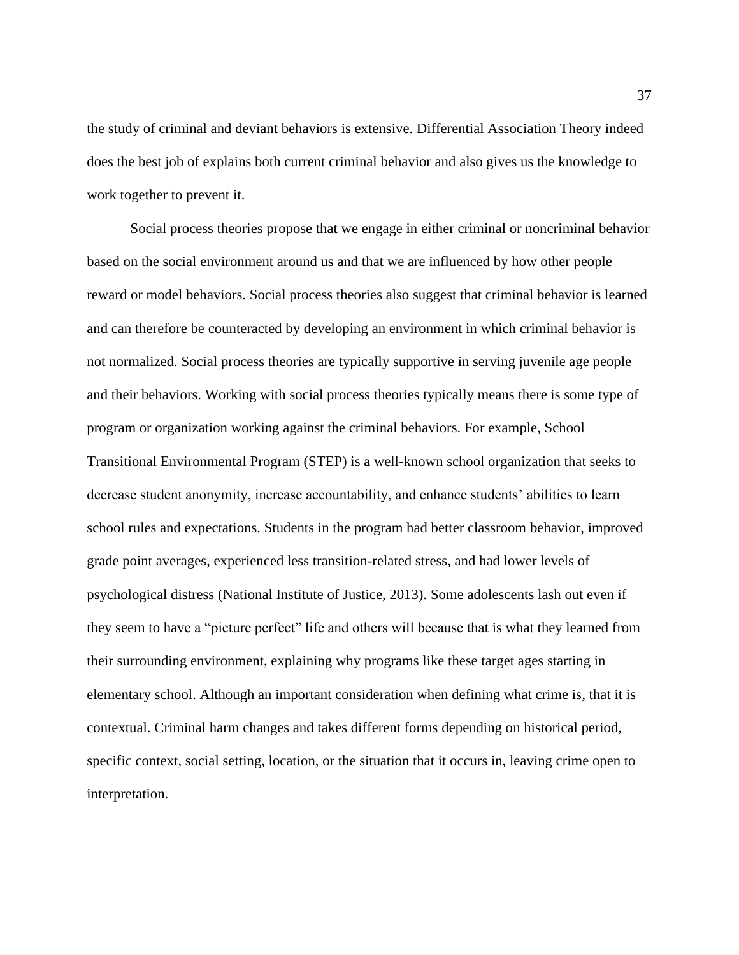the study of criminal and deviant behaviors is extensive. Differential Association Theory indeed does the best job of explains both current criminal behavior and also gives us the knowledge to work together to prevent it.

Social process theories propose that we engage in either criminal or noncriminal behavior based on the social environment around us and that we are influenced by how other people reward or model behaviors. Social process theories also suggest that criminal behavior is learned and can therefore be counteracted by developing an environment in which criminal behavior is not normalized. Social process theories are typically supportive in serving juvenile age people and their behaviors. Working with social process theories typically means there is some type of program or organization working against the criminal behaviors. For example, School Transitional Environmental Program (STEP) is a well-known school organization that seeks to decrease student anonymity, increase accountability, and enhance students' abilities to learn school rules and expectations. Students in the program had better classroom behavior, improved grade point averages, experienced less transition-related stress, and had lower levels of psychological distress (National Institute of Justice, 2013). Some adolescents lash out even if they seem to have a "picture perfect" life and others will because that is what they learned from their surrounding environment, explaining why programs like these target ages starting in elementary school. Although an important consideration when defining what crime is, that it is contextual. Criminal harm changes and takes different forms depending on historical period, specific context, social setting, location, or the situation that it occurs in, leaving crime open to interpretation.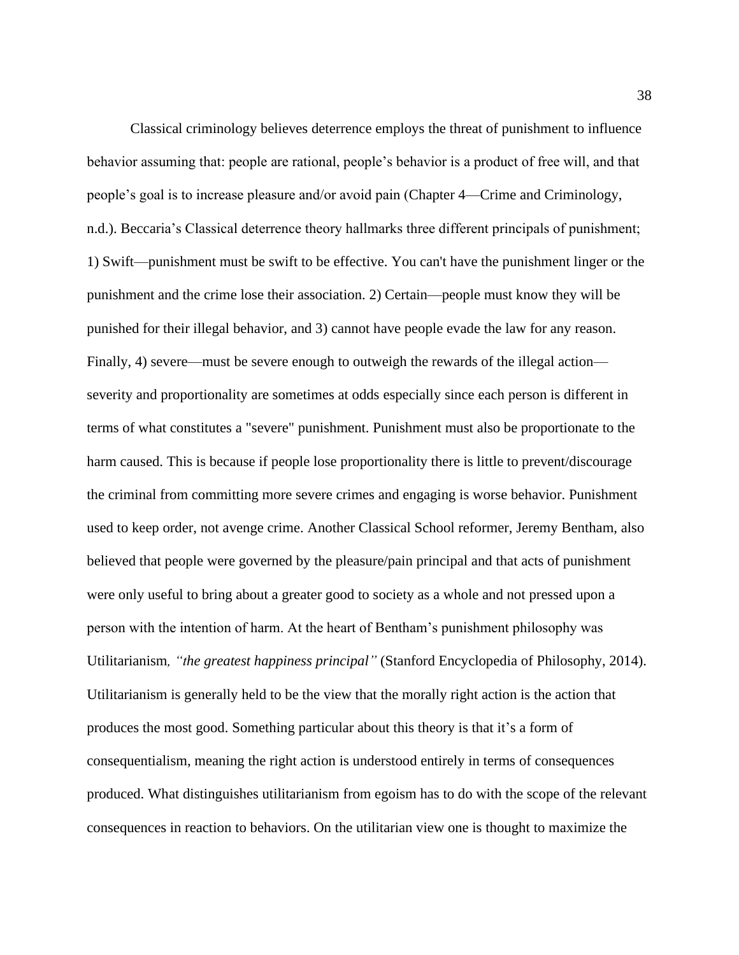Classical criminology believes deterrence employs the threat of punishment to influence behavior assuming that: people are rational, people's behavior is a product of free will, and that people's goal is to increase pleasure and/or avoid pain (Chapter 4—Crime and Criminology, n.d.). Beccaria's Classical deterrence theory hallmarks three different principals of punishment; 1) Swift—punishment must be swift to be effective. You can't have the punishment linger or the punishment and the crime lose their association. 2) Certain—people must know they will be punished for their illegal behavior, and 3) cannot have people evade the law for any reason. Finally, 4) severe—must be severe enough to outweigh the rewards of the illegal action severity and proportionality are sometimes at odds especially since each person is different in terms of what constitutes a "severe" punishment. Punishment must also be proportionate to the harm caused. This is because if people lose proportionality there is little to prevent/discourage the criminal from committing more severe crimes and engaging is worse behavior. Punishment used to keep order, not avenge crime. Another Classical School reformer, Jeremy Bentham, also believed that people were governed by the pleasure/pain principal and that acts of punishment were only useful to bring about a greater good to society as a whole and not pressed upon a person with the intention of harm. At the heart of Bentham's punishment philosophy was Utilitarianism*, "the greatest happiness principal"* (Stanford Encyclopedia of Philosophy, 2014). Utilitarianism is generally held to be the view that the morally right action is the action that produces the most good. Something particular about this theory is that it's a form of consequentialism, meaning the right action is understood entirely in terms of consequences produced. What distinguishes utilitarianism from egoism has to do with the scope of the relevant consequences in reaction to behaviors. On the utilitarian view one is thought to maximize the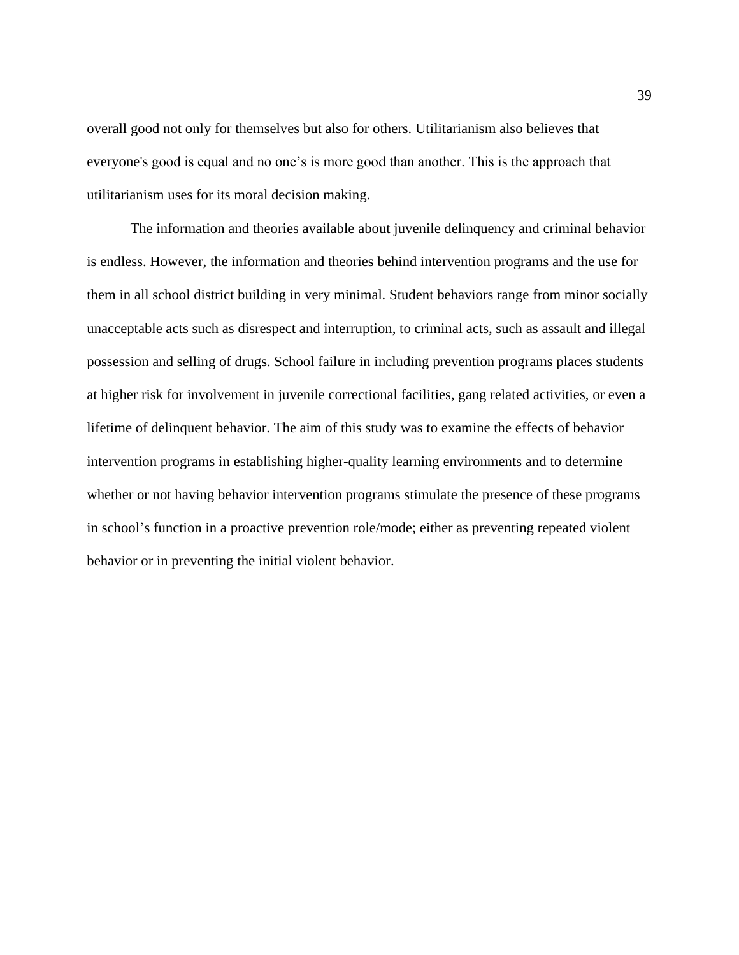overall good not only for themselves but also for others. Utilitarianism also believes that everyone's good is equal and no one's is more good than another. This is the approach that utilitarianism uses for its moral decision making.

The information and theories available about juvenile delinquency and criminal behavior is endless. However, the information and theories behind intervention programs and the use for them in all school district building in very minimal. Student behaviors range from minor socially unacceptable acts such as disrespect and interruption, to criminal acts, such as assault and illegal possession and selling of drugs. School failure in including prevention programs places students at higher risk for involvement in juvenile correctional facilities, gang related activities, or even a lifetime of delinquent behavior. The aim of this study was to examine the effects of behavior intervention programs in establishing higher-quality learning environments and to determine whether or not having behavior intervention programs stimulate the presence of these programs in school's function in a proactive prevention role/mode; either as preventing repeated violent behavior or in preventing the initial violent behavior.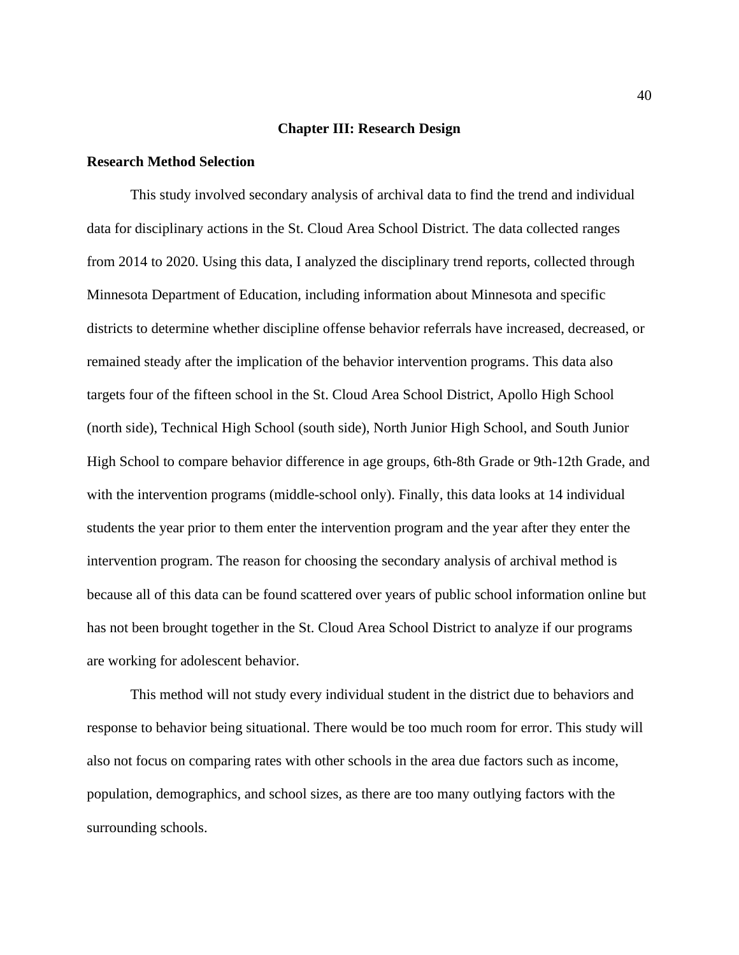#### **Chapter III: Research Design**

# **Research Method Selection**

This study involved secondary analysis of archival data to find the trend and individual data for disciplinary actions in the St. Cloud Area School District. The data collected ranges from 2014 to 2020. Using this data, I analyzed the disciplinary trend reports, collected through Minnesota Department of Education, including information about Minnesota and specific districts to determine whether discipline offense behavior referrals have increased, decreased, or remained steady after the implication of the behavior intervention programs. This data also targets four of the fifteen school in the St. Cloud Area School District, Apollo High School (north side), Technical High School (south side), North Junior High School, and South Junior High School to compare behavior difference in age groups, 6th-8th Grade or 9th-12th Grade, and with the intervention programs (middle-school only). Finally, this data looks at 14 individual students the year prior to them enter the intervention program and the year after they enter the intervention program. The reason for choosing the secondary analysis of archival method is because all of this data can be found scattered over years of public school information online but has not been brought together in the St. Cloud Area School District to analyze if our programs are working for adolescent behavior.

This method will not study every individual student in the district due to behaviors and response to behavior being situational. There would be too much room for error. This study will also not focus on comparing rates with other schools in the area due factors such as income, population, demographics, and school sizes, as there are too many outlying factors with the surrounding schools.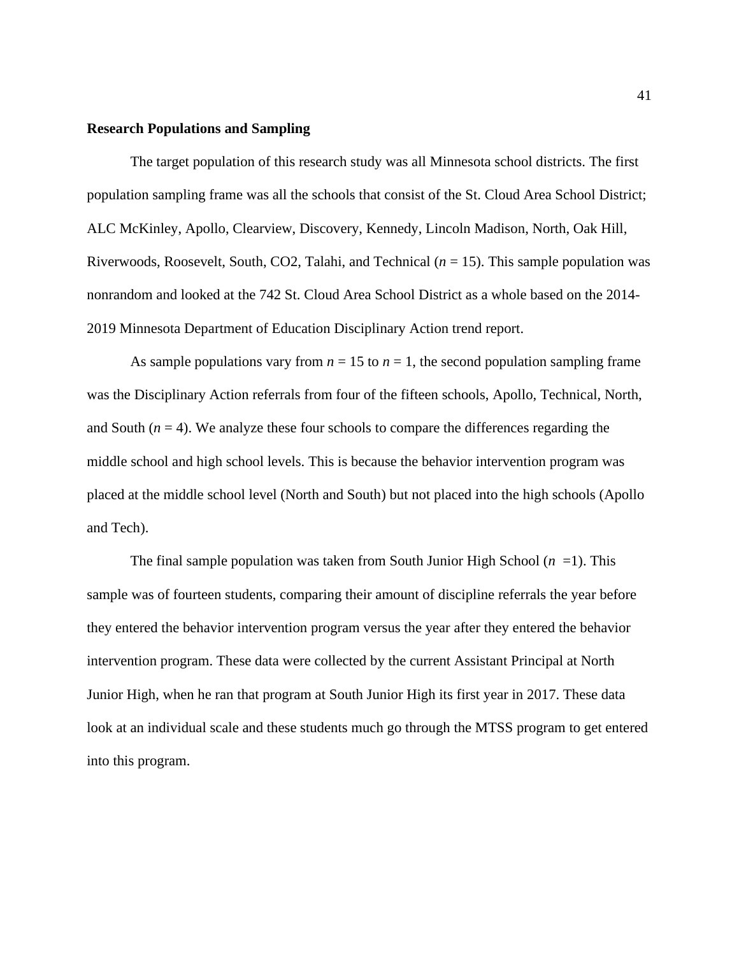#### **Research Populations and Sampling**

The target population of this research study was all Minnesota school districts. The first population sampling frame was all the schools that consist of the St. Cloud Area School District; ALC McKinley, Apollo, Clearview, Discovery, Kennedy, Lincoln Madison, North, Oak Hill, Riverwoods, Roosevelt, South, CO2, Talahi, and Technical ( $n = 15$ ). This sample population was nonrandom and looked at the 742 St. Cloud Area School District as a whole based on the 2014- 2019 Minnesota Department of Education Disciplinary Action trend report.

As sample populations vary from  $n = 15$  to  $n = 1$ , the second population sampling frame was the Disciplinary Action referrals from four of the fifteen schools, Apollo, Technical, North, and South  $(n = 4)$ . We analyze these four schools to compare the differences regarding the middle school and high school levels. This is because the behavior intervention program was placed at the middle school level (North and South) but not placed into the high schools (Apollo and Tech).

The final sample population was taken from South Junior High School  $(n = 1)$ . This sample was of fourteen students, comparing their amount of discipline referrals the year before they entered the behavior intervention program versus the year after they entered the behavior intervention program. These data were collected by the current Assistant Principal at North Junior High, when he ran that program at South Junior High its first year in 2017. These data look at an individual scale and these students much go through the MTSS program to get entered into this program.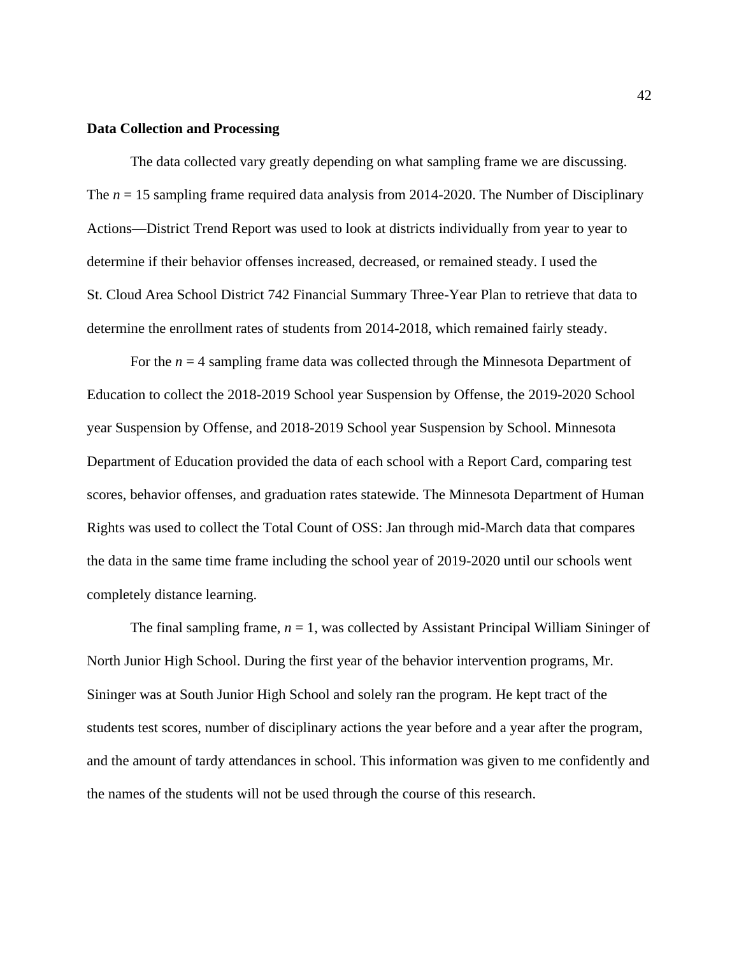#### **Data Collection and Processing**

The data collected vary greatly depending on what sampling frame we are discussing. The *n* = 15 sampling frame required data analysis from 2014-2020. The Number of Disciplinary Actions—District Trend Report was used to look at districts individually from year to year to determine if their behavior offenses increased, decreased, or remained steady. I used the St. Cloud Area School District 742 Financial Summary Three-Year Plan to retrieve that data to determine the enrollment rates of students from 2014-2018, which remained fairly steady.

For the  $n = 4$  sampling frame data was collected through the Minnesota Department of Education to collect the 2018-2019 School year Suspension by Offense, the 2019-2020 School year Suspension by Offense, and 2018-2019 School year Suspension by School. Minnesota Department of Education provided the data of each school with a Report Card, comparing test scores, behavior offenses, and graduation rates statewide. The Minnesota Department of Human Rights was used to collect the Total Count of OSS: Jan through mid-March data that compares the data in the same time frame including the school year of 2019-2020 until our schools went completely distance learning.

The final sampling frame,  $n = 1$ , was collected by Assistant Principal William Sininger of North Junior High School. During the first year of the behavior intervention programs, Mr. Sininger was at South Junior High School and solely ran the program. He kept tract of the students test scores, number of disciplinary actions the year before and a year after the program, and the amount of tardy attendances in school. This information was given to me confidently and the names of the students will not be used through the course of this research.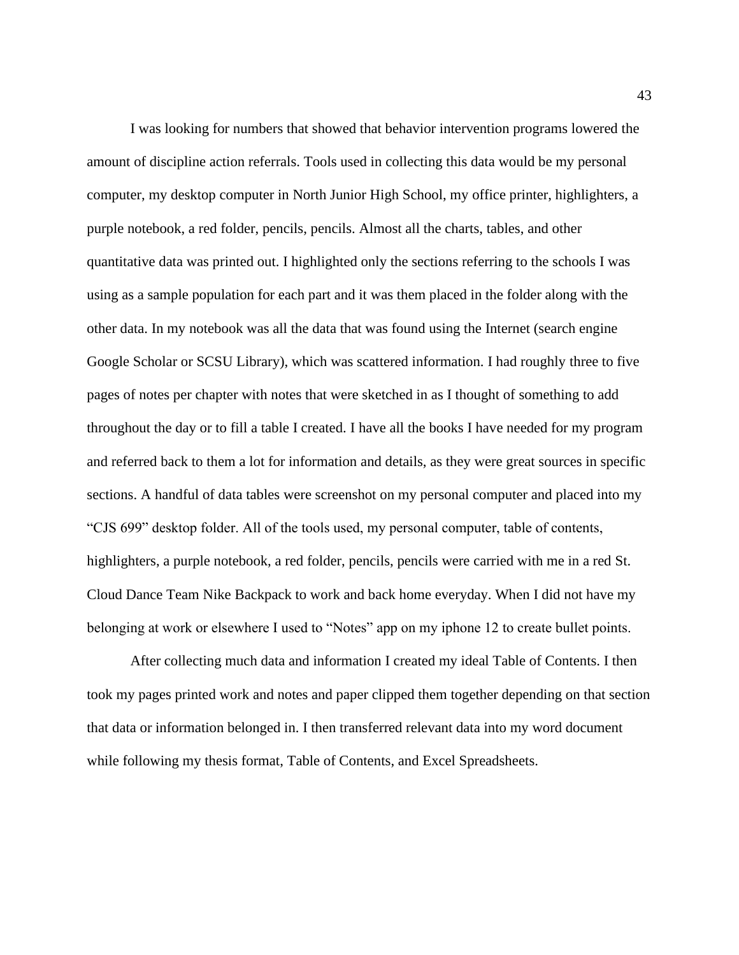I was looking for numbers that showed that behavior intervention programs lowered the amount of discipline action referrals. Tools used in collecting this data would be my personal computer, my desktop computer in North Junior High School, my office printer, highlighters, a purple notebook, a red folder, pencils, pencils. Almost all the charts, tables, and other quantitative data was printed out. I highlighted only the sections referring to the schools I was using as a sample population for each part and it was them placed in the folder along with the other data. In my notebook was all the data that was found using the Internet (search engine Google Scholar or SCSU Library), which was scattered information. I had roughly three to five pages of notes per chapter with notes that were sketched in as I thought of something to add throughout the day or to fill a table I created. I have all the books I have needed for my program and referred back to them a lot for information and details, as they were great sources in specific sections. A handful of data tables were screenshot on my personal computer and placed into my "CJS 699" desktop folder. All of the tools used, my personal computer, table of contents, highlighters, a purple notebook, a red folder, pencils, pencils were carried with me in a red St. Cloud Dance Team Nike Backpack to work and back home everyday. When I did not have my belonging at work or elsewhere I used to "Notes" app on my iphone 12 to create bullet points.

After collecting much data and information I created my ideal Table of Contents. I then took my pages printed work and notes and paper clipped them together depending on that section that data or information belonged in. I then transferred relevant data into my word document while following my thesis format, Table of Contents, and Excel Spreadsheets.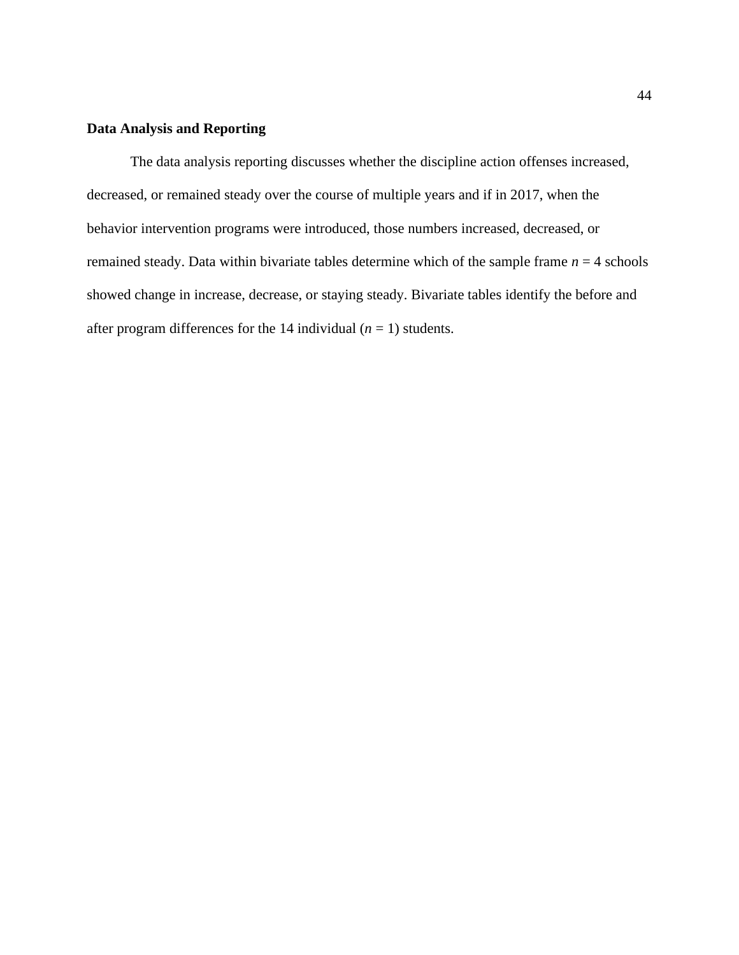# **Data Analysis and Reporting**

The data analysis reporting discusses whether the discipline action offenses increased, decreased, or remained steady over the course of multiple years and if in 2017, when the behavior intervention programs were introduced, those numbers increased, decreased, or remained steady. Data within bivariate tables determine which of the sample frame  $n = 4$  schools showed change in increase, decrease, or staying steady. Bivariate tables identify the before and after program differences for the 14 individual  $(n = 1)$  students.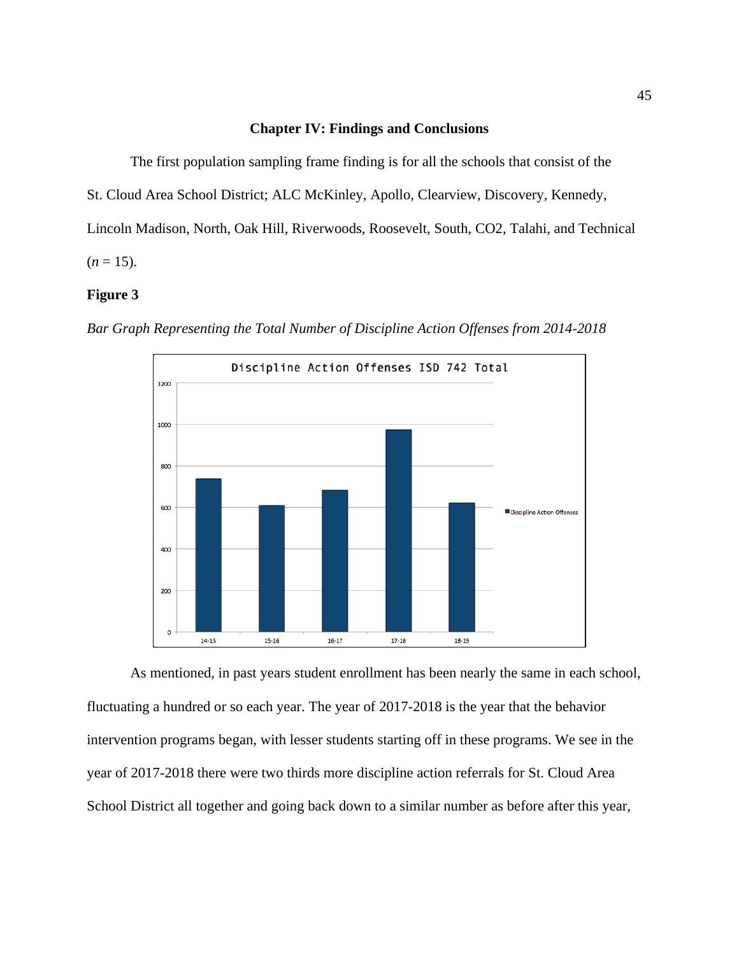#### **Chapter IV: Findings and Conclusions**

The first population sampling frame finding is for all the schools that consist of the

St. Cloud Area School District; ALC McKinley, Apollo, Clearview, Discovery, Kennedy,

Lincoln Madison, North, Oak Hill, Riverwoods, Roosevelt, South, CO2, Talahi, and Technical

 $(n = 15)$ .

# **Figure 3**

*Bar Graph Representing the Total Number of Discipline Action Offenses from 2014-2018*



As mentioned, in past years student enrollment has been nearly the same in each school, fluctuating a hundred or so each year. The year of 2017-2018 is the year that the behavior intervention programs began, with lesser students starting off in these programs. We see in the year of 2017-2018 there were two thirds more discipline action referrals for St. Cloud Area School District all together and going back down to a similar number as before after this year,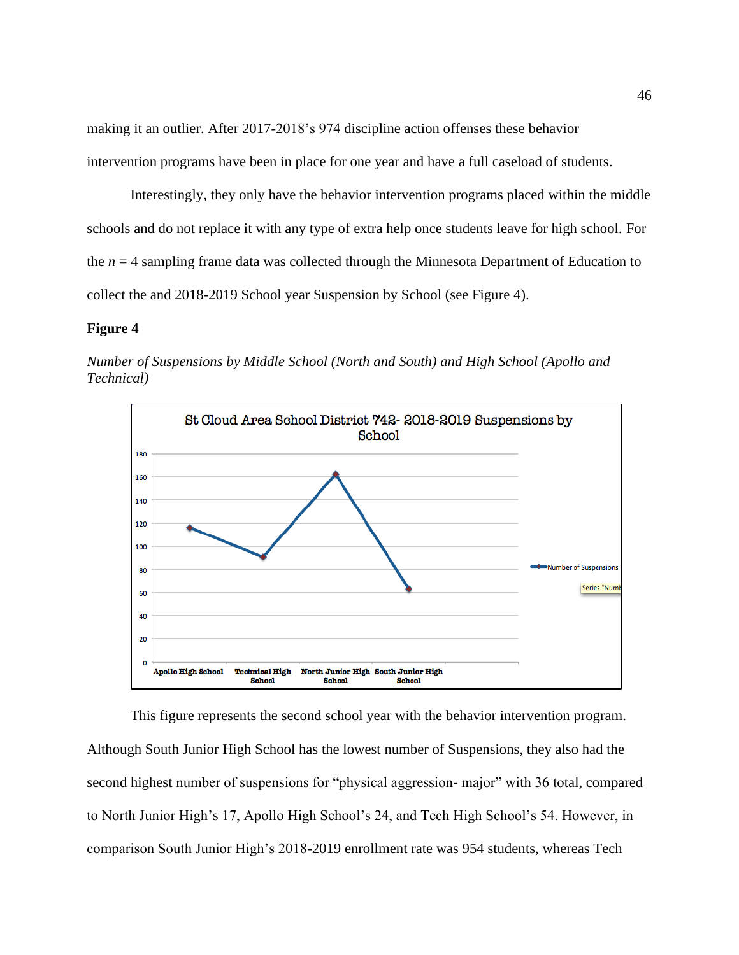making it an outlier. After 2017-2018's 974 discipline action offenses these behavior

intervention programs have been in place for one year and have a full caseload of students.

Interestingly, they only have the behavior intervention programs placed within the middle schools and do not replace it with any type of extra help once students leave for high school. For the *n* = 4 sampling frame data was collected through the Minnesota Department of Education to collect the and 2018-2019 School year Suspension by School (see Figure 4).

#### **Figure 4**

*Number of Suspensions by Middle School (North and South) and High School (Apollo and Technical)*



This figure represents the second school year with the behavior intervention program. Although South Junior High School has the lowest number of Suspensions, they also had the second highest number of suspensions for "physical aggression- major" with 36 total, compared to North Junior High's 17, Apollo High School's 24, and Tech High School's 54. However, in comparison South Junior High's 2018-2019 enrollment rate was 954 students, whereas Tech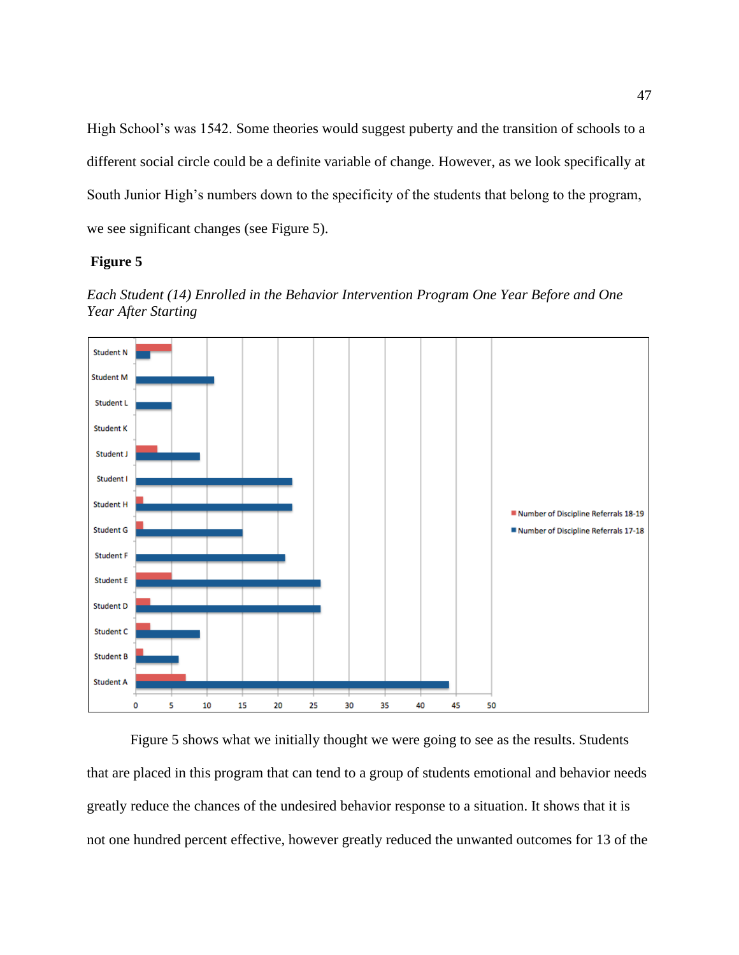High School's was 1542. Some theories would suggest puberty and the transition of schools to a different social circle could be a definite variable of change. However, as we look specifically at South Junior High's numbers down to the specificity of the students that belong to the program, we see significant changes (see Figure 5).

## **Figure 5**





Figure 5 shows what we initially thought we were going to see as the results. Students that are placed in this program that can tend to a group of students emotional and behavior needs greatly reduce the chances of the undesired behavior response to a situation. It shows that it is not one hundred percent effective, however greatly reduced the unwanted outcomes for 13 of the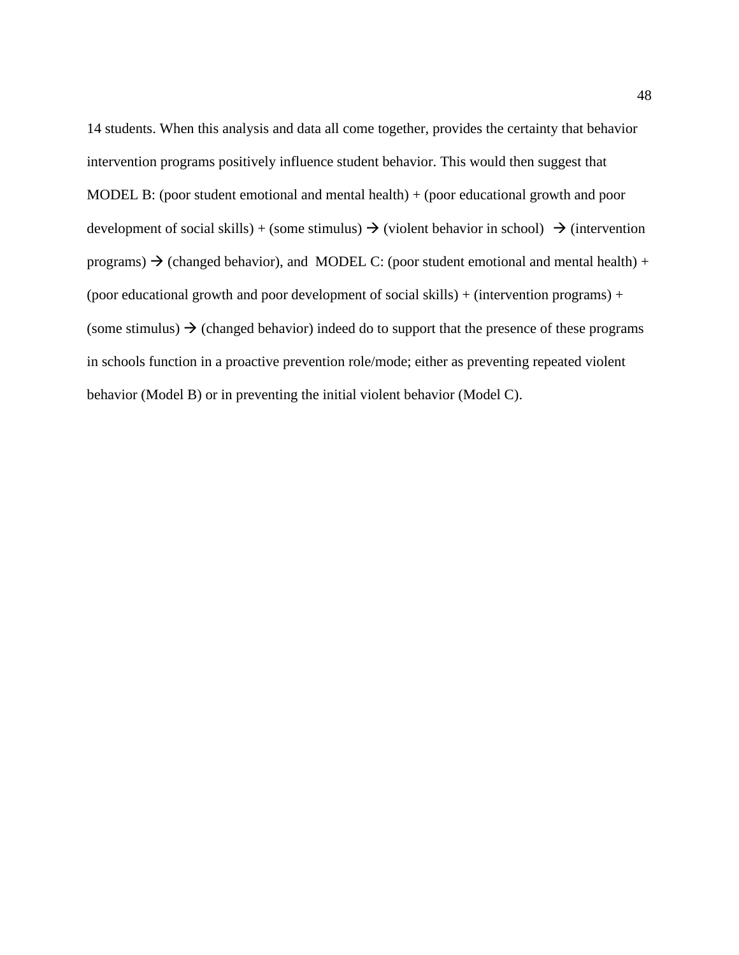14 students. When this analysis and data all come together, provides the certainty that behavior intervention programs positively influence student behavior. This would then suggest that MODEL B: (poor student emotional and mental health) + (poor educational growth and poor development of social skills) + (some stimulus)  $\rightarrow$  (violent behavior in school)  $\rightarrow$  (intervention programs)  $\rightarrow$  (changed behavior), and MODEL C: (poor student emotional and mental health) + (poor educational growth and poor development of social skills) + (intervention programs) + (some stimulus)  $\rightarrow$  (changed behavior) indeed do to support that the presence of these programs in schools function in a proactive prevention role/mode; either as preventing repeated violent behavior (Model B) or in preventing the initial violent behavior (Model C).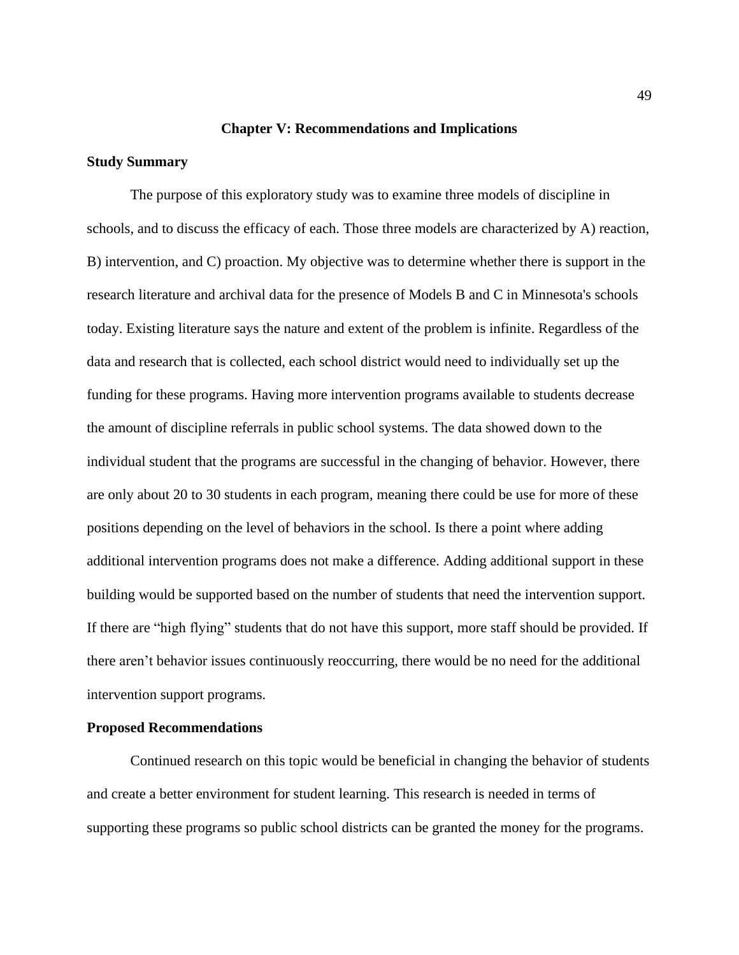#### **Chapter V: Recommendations and Implications**

#### **Study Summary**

The purpose of this exploratory study was to examine three models of discipline in schools, and to discuss the efficacy of each. Those three models are characterized by A) reaction, B) intervention, and C) proaction. My objective was to determine whether there is support in the research literature and archival data for the presence of Models B and C in Minnesota's schools today. Existing literature says the nature and extent of the problem is infinite. Regardless of the data and research that is collected, each school district would need to individually set up the funding for these programs. Having more intervention programs available to students decrease the amount of discipline referrals in public school systems. The data showed down to the individual student that the programs are successful in the changing of behavior. However, there are only about 20 to 30 students in each program, meaning there could be use for more of these positions depending on the level of behaviors in the school. Is there a point where adding additional intervention programs does not make a difference. Adding additional support in these building would be supported based on the number of students that need the intervention support. If there are "high flying" students that do not have this support, more staff should be provided. If there aren't behavior issues continuously reoccurring, there would be no need for the additional intervention support programs.

#### **Proposed Recommendations**

Continued research on this topic would be beneficial in changing the behavior of students and create a better environment for student learning. This research is needed in terms of supporting these programs so public school districts can be granted the money for the programs.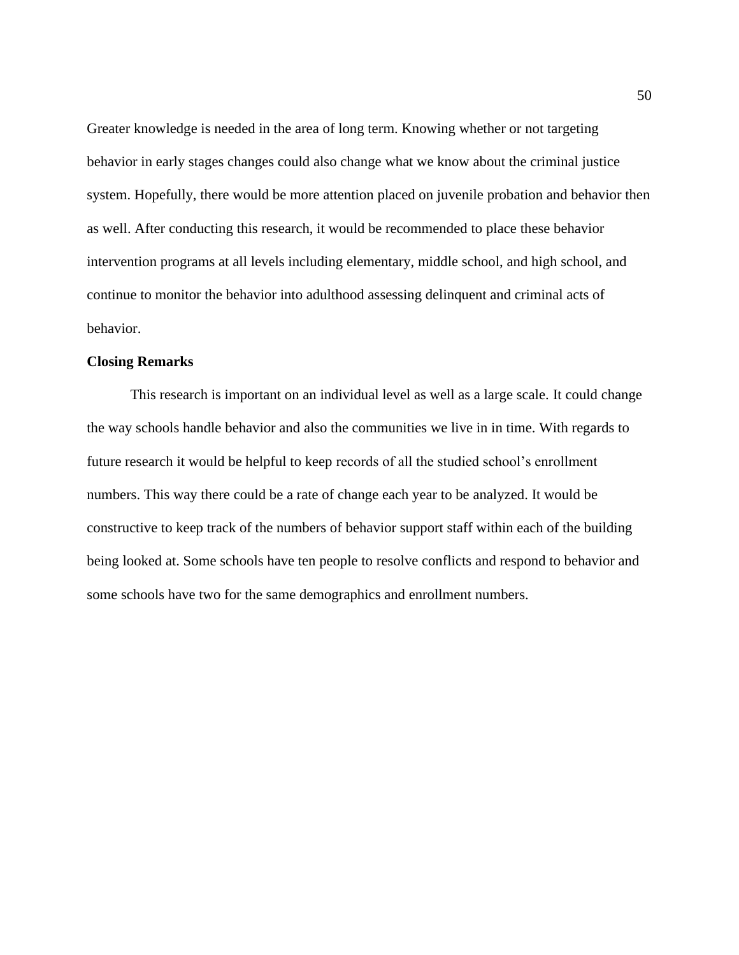Greater knowledge is needed in the area of long term. Knowing whether or not targeting behavior in early stages changes could also change what we know about the criminal justice system. Hopefully, there would be more attention placed on juvenile probation and behavior then as well. After conducting this research, it would be recommended to place these behavior intervention programs at all levels including elementary, middle school, and high school, and continue to monitor the behavior into adulthood assessing delinquent and criminal acts of behavior.

# **Closing Remarks**

This research is important on an individual level as well as a large scale. It could change the way schools handle behavior and also the communities we live in in time. With regards to future research it would be helpful to keep records of all the studied school's enrollment numbers. This way there could be a rate of change each year to be analyzed. It would be constructive to keep track of the numbers of behavior support staff within each of the building being looked at. Some schools have ten people to resolve conflicts and respond to behavior and some schools have two for the same demographics and enrollment numbers.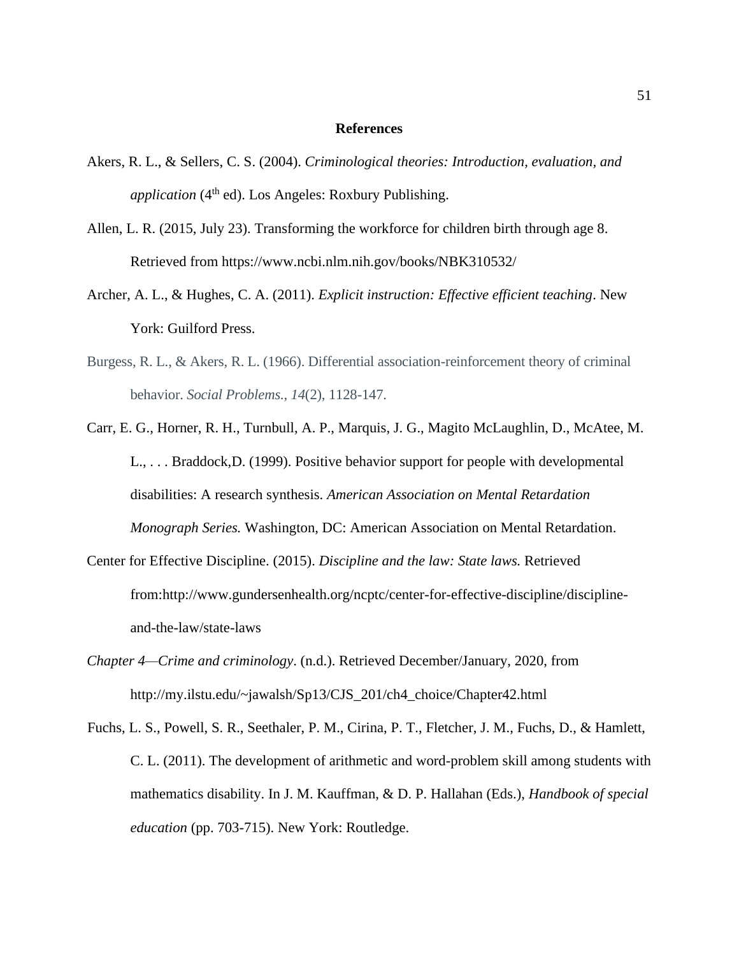#### **References**

- Akers, R. L., & Sellers, C. S. (2004). *Criminological theories: Introduction, evaluation, and*  application (4<sup>th</sup> ed). Los Angeles: Roxbury Publishing.
- Allen, L. R. (2015, July 23). Transforming the workforce for children birth through age 8. Retrieved from<https://www.ncbi.nlm.nih.gov/books/NBK310532/>
- Archer, A. L., & Hughes, C. A. (2011). *Explicit instruction: Effective efficient teaching*. New York: Guilford Press.
- Burgess, R. L., & Akers, R. L. (1966). Differential association-reinforcement theory of criminal behavior. *Social Problems., 14*(2), 1128-147.
- Carr, E. G., Horner, R. H., Turnbull, A. P., Marquis, J. G., Magito McLaughlin, D., McAtee, M. L., . . . Braddock,D. (1999). Positive behavior support for people with developmental disabilities: A research synthesis. *American Association on Mental Retardation Monograph Series.* Washington, DC: American Association on Mental Retardation.
- Center for Effective Discipline. (2015). *Discipline and the law: State laws.* Retrieved from[:http://www.gundersenhealth.org/ncptc/center-for-effective-discipline/discipline](http://www.gundersenhealth.org/ncptc/center-for-effective-discipline/discipline-and-the-law/state-laws)[and-the-law/state-laws](http://www.gundersenhealth.org/ncptc/center-for-effective-discipline/discipline-and-the-law/state-laws)
- *Chapter 4—Crime and criminology*. (n.d.). Retrieved December/January, 2020, from http://my.ilstu.edu/~jawalsh/Sp13/CJS\_201/ch4\_choice/Chapter42.html
- Fuchs, L. S., Powell, S. R., Seethaler, P. M., Cirina, P. T., Fletcher, J. M., Fuchs, D., & Hamlett, C. L. (2011). The development of arithmetic and word-problem skill among students with mathematics disability. In J. M. Kauffman, & D. P. Hallahan (Eds.), *Handbook of special education* (pp. 703-715). New York: Routledge.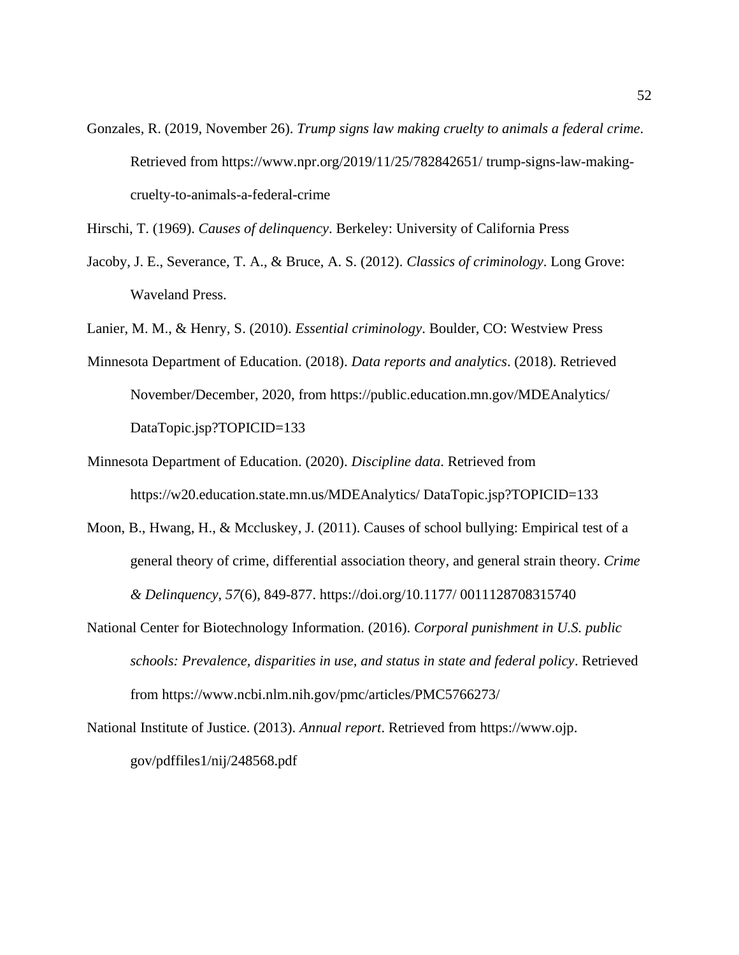Gonzales, R. (2019, November 26). *Trump signs law making cruelty to animals a federal crime*. Retrieved from [https://www.npr.org/2019/11/25/782842651/](https://www.npr.org/2019/11/25/782842651/trump-signs-law-making-cruelty-to-animals-a-federal-crime) trump-signs-law-making[cruelty-to-animals-a-federal-crime](https://www.npr.org/2019/11/25/782842651/trump-signs-law-making-cruelty-to-animals-a-federal-crime)

Hirschi, T. (1969). *Causes of delinquency*. Berkeley: University of California Press

Jacoby, J. E., Severance, T. A., & Bruce, A. S. (2012). *Classics of criminology*. Long Grove: Waveland Press.

Lanier, M. M., & Henry, S. (2010). *Essential criminology*. Boulder, CO: Westview Press

- Minnesota Department of Education. (2018). *Data reports and analytics*. (2018). Retrieved November/December, 2020, from<https://public.education.mn.gov/MDEAnalytics/> DataTopic.jsp?TOPICID=133
- Minnesota Department of Education. (2020). *Discipline data*. Retrieved from [https://w20.education.state.mn.us/MDEAnalytics/ DataTopic.jsp?TOPICID=133](https://w20.education.state.mn.us/MDEAnalytics/DataTopic.jsp?TOPICID=133)
- Moon, B., Hwang, H., & Mccluskey, J. (2011). Causes of school bullying: Empirical test of a general theory of crime, differential association theory, and general strain theory. *Crime & Delinquency*, *57*(6), 849-877. [https://doi.org/10.1177/](https://doi.org/10.1177/0011128708315740) 0011128708315740
- National Center for Biotechnology Information. (2016). *Corporal punishment in U.S. public schools: Prevalence, disparities in use, and status in state and federal policy*. Retrieved from https://www.ncbi.nlm.nih.gov/pmc/articles/PMC5766273/
- National Institute of Justice. (2013). *Annual report*. Retrieved from [https://www.ojp.](https://www.ojp/) gov/pdffiles1/nij/248568.pdf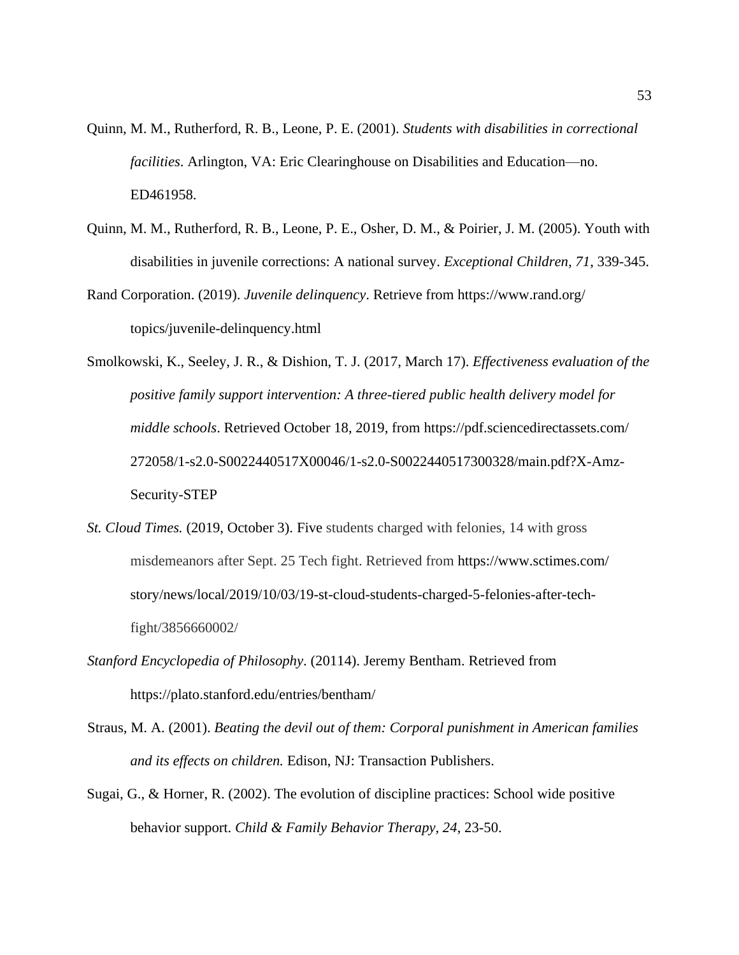- Quinn, M. M., Rutherford, R. B., Leone, P. E. (2001). *Students with disabilities in correctional facilities*. Arlington, VA: Eric Clearinghouse on Disabilities and Education—no. ED461958.
- Quinn, M. M., Rutherford, R. B., Leone, P. E., Osher, D. M., & Poirier, J. M. (2005). Youth with disabilities in juvenile corrections: A national survey. *Exceptional Children, 71*, 339-345.
- Rand Corporation. (2019). *Juvenile delinquency*. Retrieve from<https://www.rand.org/> topics/juvenile-delinquency.html
- Smolkowski, K., Seeley, J. R., & Dishion, T. J. (2017, March 17). *Effectiveness evaluation of the positive family support intervention: A three-tiered public health delivery model for middle schools*. Retrieved October 18, 2019, from [https://pdf.sciencedirectassets.com/](https://pdf.sciencedirectassets.com/%20272058/1-s2.0-S0022440517X00046/1-s2.0-S0022440517300328/main.pdf?X-Amz-Security-)  [272058/1-s2.0-S0022440517X00046/1-s2.0-S0022440517300328/main.pdf?X-Amz-](https://pdf.sciencedirectassets.com/%20272058/1-s2.0-S0022440517X00046/1-s2.0-S0022440517300328/main.pdf?X-Amz-Security-)[Security-S](https://pdf.sciencedirectassets.com/%20272058/1-s2.0-S0022440517X00046/1-s2.0-S0022440517300328/main.pdf?X-Amz-Security-)TEP
- *St. Cloud Times.* (2019, October 3). Five students charged with felonies, 14 with gross misdemeanors after Sept. 25 Tech fight. Retrieved from<https://www.sctimes.com/> story/news/local/2019/10/03/19-st-cloud-students-charged-5-felonies-after-techfight/3856660002/
- *Stanford Encyclopedia of Philosophy*. (20114). Jeremy Bentham. Retrieved from https://plato.stanford.edu/entries/bentham/
- Straus, M. A. (2001). *Beating the devil out of them: Corporal punishment in American families and its effects on children.* Edison, NJ: Transaction Publishers.
- Sugai, G., & Horner, R. (2002). The evolution of discipline practices: School wide positive behavior support. *Child & Family Behavior Therapy, 24*, 23-50.